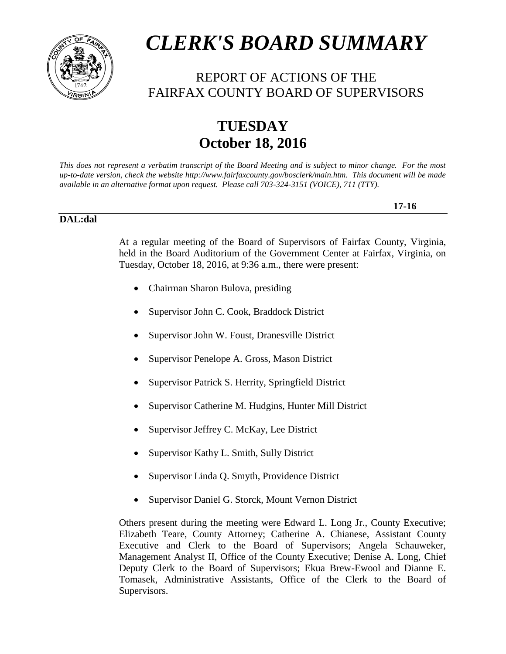

# *CLERK'S BOARD SUMMARY*

# REPORT OF ACTIONS OF THE FAIRFAX COUNTY BOARD OF SUPERVISORS

# **TUESDAY October 18, 2016**

*This does not represent a verbatim transcript of the Board Meeting and is subject to minor change. For the most up-to-date version, check the website http://www.fairfaxcounty.gov/bosclerk/main.htm. This document will be made available in an alternative format upon request. Please call 703-324-3151 (VOICE), 711 (TTY).*

#### **DAL:dal**

At a regular meeting of the Board of Supervisors of Fairfax County, Virginia, held in the Board Auditorium of the Government Center at Fairfax, Virginia, on Tuesday, October 18, 2016, at 9:36 a.m., there were present:

**17-16**

- Chairman Sharon Bulova, presiding
- Supervisor John C. Cook, Braddock District
- Supervisor John W. Foust, Dranesville District
- Supervisor Penelope A. Gross, Mason District
- Supervisor Patrick S. Herrity, Springfield District
- Supervisor Catherine M. Hudgins, Hunter Mill District
- Supervisor Jeffrey C. McKay, Lee District
- Supervisor Kathy L. Smith, Sully District
- Supervisor Linda Q. Smyth, Providence District
- Supervisor Daniel G. Storck, Mount Vernon District

Others present during the meeting were Edward L. Long Jr., County Executive; Elizabeth Teare, County Attorney; Catherine A. Chianese, Assistant County Executive and Clerk to the Board of Supervisors; Angela Schauweker, Management Analyst II, Office of the County Executive; Denise A. Long, Chief Deputy Clerk to the Board of Supervisors; Ekua Brew-Ewool and Dianne E. Tomasek, Administrative Assistants, Office of the Clerk to the Board of Supervisors.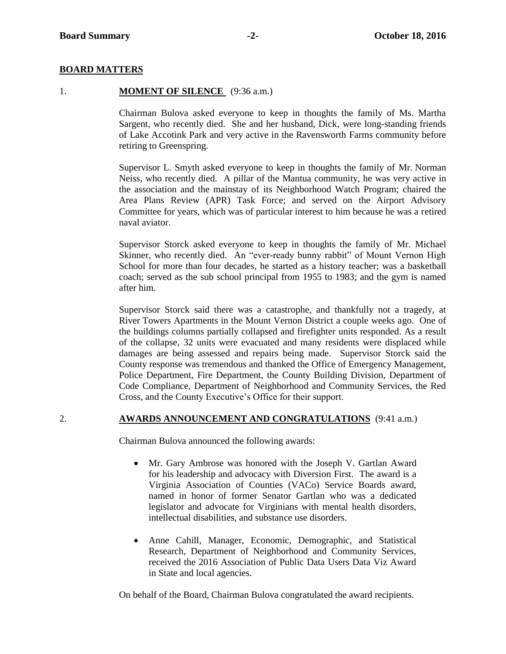#### **BOARD MATTERS**

#### 1. **MOMENT OF SILENCE** (9:36 a.m.)

Chairman Bulova asked everyone to keep in thoughts the family of Ms. Martha Sargent, who recently died. She and her husband, Dick, were long-standing friends of Lake Accotink Park and very active in the Ravensworth Farms community before retiring to Greenspring.

Supervisor L. Smyth asked everyone to keep in thoughts the family of Mr. Norman Neiss, who recently died. A pillar of the Mantua community, he was very active in the association and the mainstay of its Neighborhood Watch Program; chaired the Area Plans Review (APR) Task Force; and served on the Airport Advisory Committee for years, which was of particular interest to him because he was a retired naval aviator.

Supervisor Storck asked everyone to keep in thoughts the family of Mr. Michael Skinner, who recently died. An "ever-ready bunny rabbit" of Mount Vernon High School for more than four decades, he started as a history teacher; was a basketball coach; served as the sub school principal from 1955 to 1983; and the gym is named after him.

Supervisor Storck said there was a catastrophe, and thankfully not a tragedy, at River Towers Apartments in the Mount Vernon District a couple weeks ago. One of the buildings columns partially collapsed and firefighter units responded. As a result of the collapse, 32 units were evacuated and many residents were displaced while damages are being assessed and repairs being made. Supervisor Storck said the County response was tremendous and thanked the Office of Emergency Management, Police Department, Fire Department, the County Building Division, Department of Code Compliance, Department of Neighborhood and Community Services, the Red Cross, and the County Executive's Office for their support.

#### 2. **AWARDS ANNOUNCEMENT AND CONGRATULATIONS** (9:41 a.m.)

Chairman Bulova announced the following awards:

- Mr. Gary Ambrose was honored with the Joseph V. Gartlan Award for his leadership and advocacy with Diversion First. The award is a Virginia Association of Counties (VACo) Service Boards award, named in honor of former Senator Gartlan who was a dedicated legislator and advocate for Virginians with mental health disorders, intellectual disabilities, and substance use disorders.
- Anne Cahill, Manager, Economic, Demographic, and Statistical Research, Department of Neighborhood and Community Services, received the 2016 Association of Public Data Users Data Viz Award in State and local agencies.

On behalf of the Board, Chairman Bulova congratulated the award recipients.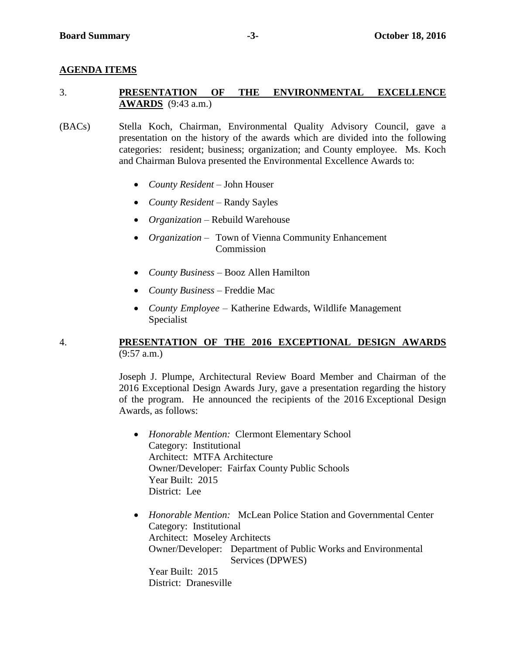#### **AGENDA ITEMS**

### 3. **PRESENTATION OF THE ENVIRONMENTAL EXCELLENCE AWARDS** (9:43 a.m.)

- (BACs) Stella Koch, Chairman, Environmental Quality Advisory Council, gave a presentation on the history of the awards which are divided into the following categories: resident; business; organization; and County employee. Ms. Koch and Chairman Bulova presented the Environmental Excellence Awards to:
	- *County Resident* John Houser
	- *County Resident* Randy Sayles
	- *Organization* Rebuild Warehouse
	- *Organization –* Town of Vienna Community Enhancement Commission
	- *County Business*  Booz Allen Hamilton
	- *County Business –* Freddie Mac
	- *County Employee* Katherine Edwards, Wildlife Management Specialist

#### 4. **PRESENTATION OF THE 2016 EXCEPTIONAL DESIGN AWARDS** (9:57 a.m.)

Joseph J. Plumpe, Architectural Review Board Member and Chairman of the 2016 Exceptional Design Awards Jury, gave a presentation regarding the history of the program. He announced the recipients of the 2016 Exceptional Design Awards, as follows:

- *Honorable Mention:* Clermont Elementary School Category: Institutional Architect: MTFA Architecture Owner/Developer: Fairfax County Public Schools Year Built: 2015 District: Lee
- *Honorable Mention:* McLean Police Station and Governmental Center Category: Institutional Architect: Moseley Architects Owner/Developer: Department of Public Works and Environmental Services (DPWES) Year Built: 2015 District: Dranesville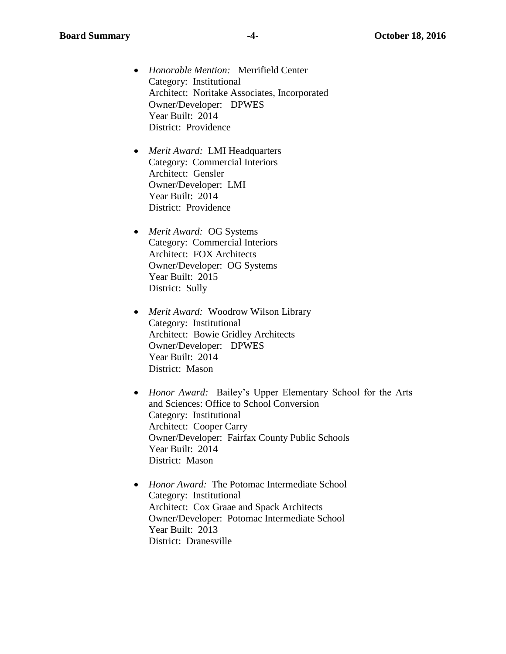- *Honorable Mention:* Merrifield Center Category: Institutional Architect: Noritake Associates, Incorporated Owner/Developer: DPWES Year Built: 2014 District: Providence
- *Merit Award:* LMI Headquarters Category: Commercial Interiors Architect: Gensler Owner/Developer: LMI Year Built: 2014 District: Providence
- *Merit Award:* OG Systems Category: Commercial Interiors Architect: FOX Architects Owner/Developer: OG Systems Year Built: 2015 District: Sully
- *Merit Award:* Woodrow Wilson Library Category: Institutional Architect: Bowie Gridley Architects Owner/Developer: DPWES Year Built: 2014 District: Mason
- *Honor Award:* Bailey's Upper Elementary School for the Arts and Sciences: Office to School Conversion Category: Institutional Architect: Cooper Carry Owner/Developer: Fairfax County Public Schools Year Built: 2014 District: Mason
- *Honor Award:* The Potomac Intermediate School Category: Institutional Architect: Cox Graae and Spack Architects Owner/Developer: Potomac Intermediate School Year Built: 2013 District: Dranesville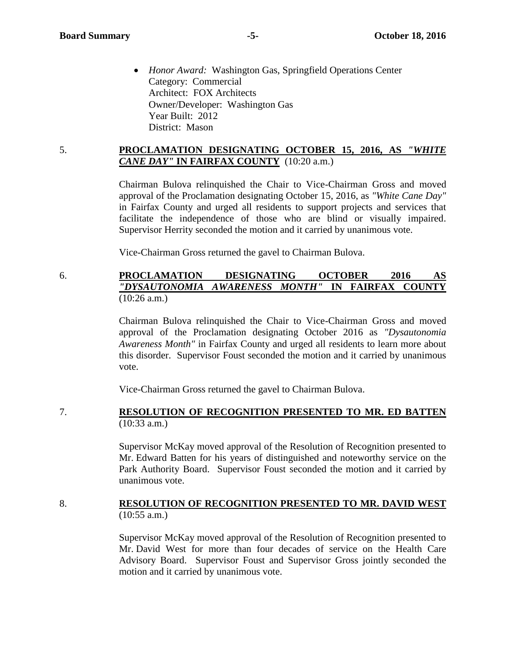*Honor Award:* Washington Gas, Springfield Operations Center Category: Commercial Architect: FOX Architects Owner/Developer: Washington Gas Year Built: 2012 District: Mason

#### 5. **PROCLAMATION DESIGNATING OCTOBER 15, 2016, AS** *"WHITE CANE DAY"* **IN FAIRFAX COUNTY** (10:20 a.m.)

Chairman Bulova relinquished the Chair to Vice-Chairman Gross and moved approval of the Proclamation designating October 15, 2016, as *"White Cane Day"* in Fairfax County and urged all residents to support projects and services that facilitate the independence of those who are blind or visually impaired. Supervisor Herrity seconded the motion and it carried by unanimous vote.

Vice-Chairman Gross returned the gavel to Chairman Bulova.

#### 6. **PROCLAMATION DESIGNATING OCTOBER 2016 AS**  *"DYSAUTONOMIA AWARENESS MONTH"* **IN FAIRFAX COUNTY** (10:26 a.m.)

Chairman Bulova relinquished the Chair to Vice-Chairman Gross and moved approval of the Proclamation designating October 2016 as *"Dysautonomia Awareness Month"* in Fairfax County and urged all residents to learn more about this disorder. Supervisor Foust seconded the motion and it carried by unanimous vote.

Vice-Chairman Gross returned the gavel to Chairman Bulova.

7. **RESOLUTION OF RECOGNITION PRESENTED TO MR. ED BATTEN** (10:33 a.m.)

> Supervisor McKay moved approval of the Resolution of Recognition presented to Mr. Edward Batten for his years of distinguished and noteworthy service on the Park Authority Board. Supervisor Foust seconded the motion and it carried by unanimous vote.

#### 8. **RESOLUTION OF RECOGNITION PRESENTED TO MR. DAVID WEST** (10:55 a.m.)

Supervisor McKay moved approval of the Resolution of Recognition presented to Mr. David West for more than four decades of service on the Health Care Advisory Board. Supervisor Foust and Supervisor Gross jointly seconded the motion and it carried by unanimous vote.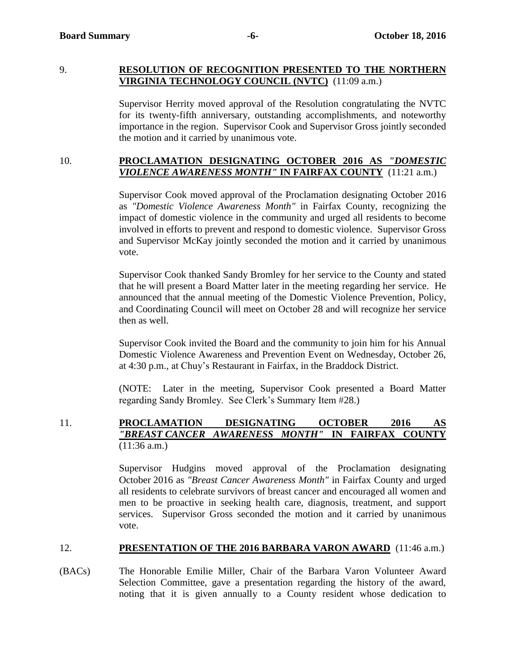#### 9. **RESOLUTION OF RECOGNITION PRESENTED TO THE NORTHERN VIRGINIA TECHNOLOGY COUNCIL (NVTC)** (11:09 a.m.)

Supervisor Herrity moved approval of the Resolution congratulating the NVTC for its twenty-fifth anniversary, outstanding accomplishments, and noteworthy importance in the region. Supervisor Cook and Supervisor Gross jointly seconded the motion and it carried by unanimous vote.

#### 10. **PROCLAMATION DESIGNATING OCTOBER 2016 AS** *"DOMESTIC VIOLENCE AWARENESS MONTH"* **IN FAIRFAX COUNTY** (11:21 a.m.)

Supervisor Cook moved approval of the Proclamation designating October 2016 as *"Domestic Violence Awareness Month"* in Fairfax County, recognizing the impact of domestic violence in the community and urged all residents to become involved in efforts to prevent and respond to domestic violence. Supervisor Gross and Supervisor McKay jointly seconded the motion and it carried by unanimous vote.

Supervisor Cook thanked Sandy Bromley for her service to the County and stated that he will present a Board Matter later in the meeting regarding her service. He announced that the annual meeting of the Domestic Violence Prevention, Policy, and Coordinating Council will meet on October 28 and will recognize her service then as well.

Supervisor Cook invited the Board and the community to join him for his Annual Domestic Violence Awareness and Prevention Event on Wednesday, October 26, at 4:30 p.m., at Chuy's Restaurant in Fairfax, in the Braddock District.

(NOTE: Later in the meeting, Supervisor Cook presented a Board Matter regarding Sandy Bromley. See Clerk's Summary Item #28.)

# 11. **PROCLAMATION DESIGNATING OCTOBER 2016 AS**  *"BREAST CANCER AWARENESS MONTH"* **IN FAIRFAX COUNTY** (11:36 a.m.)

Supervisor Hudgins moved approval of the Proclamation designating October 2016 as *"Breast Cancer Awareness Month"* in Fairfax County and urged all residents to celebrate survivors of breast cancer and encouraged all women and men to be proactive in seeking health care, diagnosis, treatment, and support services. Supervisor Gross seconded the motion and it carried by unanimous vote.

#### 12. **PRESENTATION OF THE 2016 BARBARA VARON AWARD** (11:46 a.m.)

(BACs) The Honorable Emilie Miller, Chair of the Barbara Varon Volunteer Award Selection Committee, gave a presentation regarding the history of the award, noting that it is given annually to a County resident whose dedication to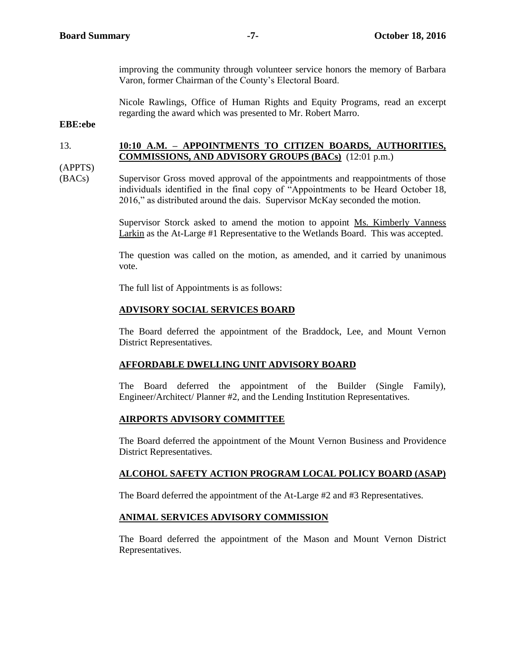improving the community through volunteer service honors the memory of Barbara Varon, former Chairman of the County's Electoral Board.

Nicole Rawlings, Office of Human Rights and Equity Programs, read an excerpt regarding the award which was presented to Mr. Robert Marro.

**EBE:ebe** 

#### 13. **10:10 A.M. – APPOINTMENTS TO CITIZEN BOARDS, AUTHORITIES, COMMISSIONS, AND ADVISORY GROUPS (BACs)** (12:01 p.m.)

(APPTS)

(BACs) Supervisor Gross moved approval of the appointments and reappointments of those individuals identified in the final copy of "Appointments to be Heard October 18, 2016," as distributed around the dais. Supervisor McKay seconded the motion.

> Supervisor Storck asked to amend the motion to appoint Ms. Kimberly Vanness Larkin as the At-Large #1 Representative to the Wetlands Board. This was accepted.

> The question was called on the motion, as amended, and it carried by unanimous vote.

The full list of Appointments is as follows:

#### **ADVISORY SOCIAL SERVICES BOARD**

The Board deferred the appointment of the Braddock, Lee, and Mount Vernon District Representatives.

#### **AFFORDABLE DWELLING UNIT ADVISORY BOARD**

The Board deferred the appointment of the Builder (Single Family), Engineer/Architect/ Planner #2, and the Lending Institution Representatives.

#### **AIRPORTS ADVISORY COMMITTEE**

The Board deferred the appointment of the Mount Vernon Business and Providence District Representatives.

#### **ALCOHOL SAFETY ACTION PROGRAM LOCAL POLICY BOARD (ASAP)**

The Board deferred the appointment of the At-Large #2 and #3 Representatives.

#### **ANIMAL SERVICES ADVISORY COMMISSION**

The Board deferred the appointment of the Mason and Mount Vernon District Representatives.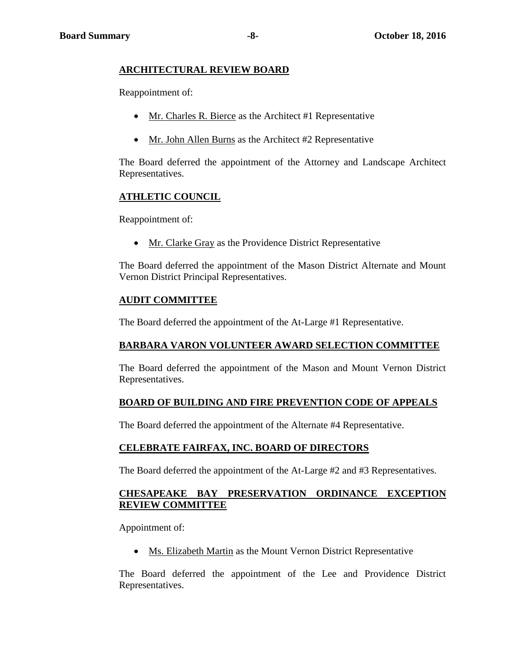# **ARCHITECTURAL REVIEW BOARD**

Reappointment of:

- Mr. Charles R. Bierce as the Architect #1 Representative
- Mr. John Allen Burns as the Architect #2 Representative

The Board deferred the appointment of the Attorney and Landscape Architect Representatives.

# **ATHLETIC COUNCIL**

Reappointment of:

Mr. Clarke Gray as the Providence District Representative

The Board deferred the appointment of the Mason District Alternate and Mount Vernon District Principal Representatives.

# **AUDIT COMMITTEE**

The Board deferred the appointment of the At-Large #1 Representative.

# **BARBARA VARON VOLUNTEER AWARD SELECTION COMMITTEE**

The Board deferred the appointment of the Mason and Mount Vernon District Representatives.

# **BOARD OF BUILDING AND FIRE PREVENTION CODE OF APPEALS**

The Board deferred the appointment of the Alternate #4 Representative.

#### **CELEBRATE FAIRFAX, INC. BOARD OF DIRECTORS**

The Board deferred the appointment of the At-Large #2 and #3 Representatives.

# **CHESAPEAKE BAY PRESERVATION ORDINANCE EXCEPTION REVIEW COMMITTEE**

Appointment of:

Ms. Elizabeth Martin as the Mount Vernon District Representative

The Board deferred the appointment of the Lee and Providence District Representatives.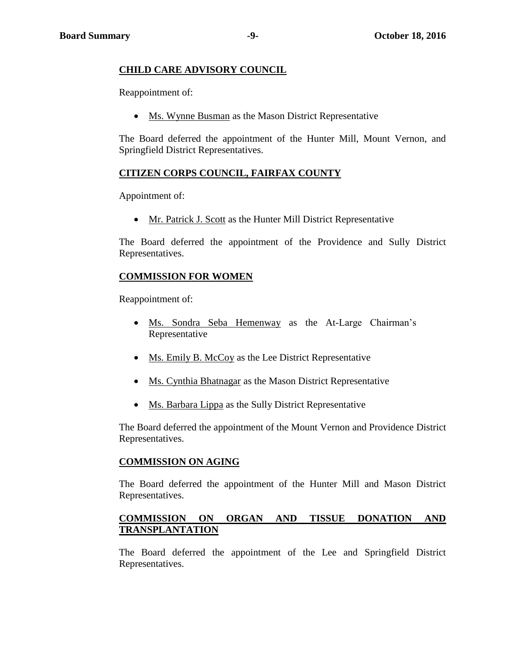#### **CHILD CARE ADVISORY COUNCIL**

Reappointment of:

• Ms. Wynne Busman as the Mason District Representative

The Board deferred the appointment of the Hunter Mill, Mount Vernon, and Springfield District Representatives.

### **CITIZEN CORPS COUNCIL, FAIRFAX COUNTY**

Appointment of:

Mr. Patrick J. Scott as the Hunter Mill District Representative

The Board deferred the appointment of the Providence and Sully District Representatives.

#### **COMMISSION FOR WOMEN**

Reappointment of:

- Ms. Sondra Seba Hemenway as the At-Large Chairman's Representative
- Ms. Emily B. McCoy as the Lee District Representative
- Ms. Cynthia Bhatnagar as the Mason District Representative
- Ms. Barbara Lippa as the Sully District Representative

The Board deferred the appointment of the Mount Vernon and Providence District Representatives.

#### **COMMISSION ON AGING**

The Board deferred the appointment of the Hunter Mill and Mason District Representatives.

#### **COMMISSION ON ORGAN AND TISSUE DONATION AND TRANSPLANTATION**

The Board deferred the appointment of the Lee and Springfield District Representatives.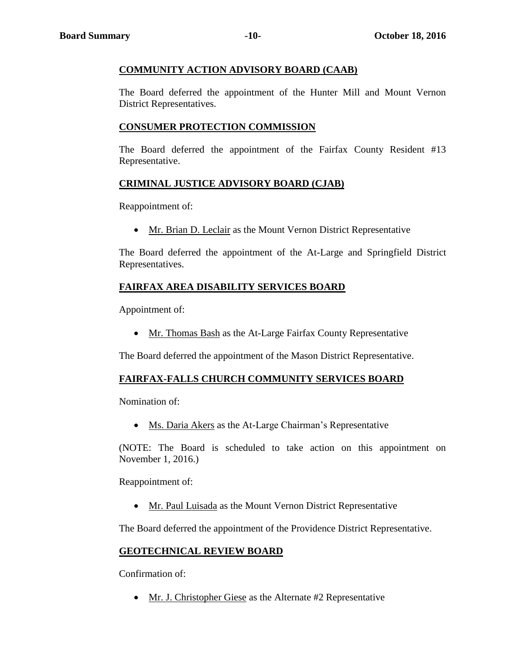# **COMMUNITY ACTION ADVISORY BOARD (CAAB)**

The Board deferred the appointment of the Hunter Mill and Mount Vernon District Representatives.

# **CONSUMER PROTECTION COMMISSION**

The Board deferred the appointment of the Fairfax County Resident #13 Representative.

# **CRIMINAL JUSTICE ADVISORY BOARD (CJAB)**

Reappointment of:

• Mr. Brian D. Leclair as the Mount Vernon District Representative

The Board deferred the appointment of the At-Large and Springfield District Representatives.

# **FAIRFAX AREA DISABILITY SERVICES BOARD**

Appointment of:

Mr. Thomas Bash as the At-Large Fairfax County Representative

The Board deferred the appointment of the Mason District Representative.

#### **FAIRFAX-FALLS CHURCH COMMUNITY SERVICES BOARD**

Nomination of:

• Ms. Daria Akers as the At-Large Chairman's Representative

(NOTE: The Board is scheduled to take action on this appointment on November 1, 2016.)

Reappointment of:

Mr. Paul Luisada as the Mount Vernon District Representative

The Board deferred the appointment of the Providence District Representative.

# **GEOTECHNICAL REVIEW BOARD**

Confirmation of:

• Mr. J. Christopher Giese as the Alternate #2 Representative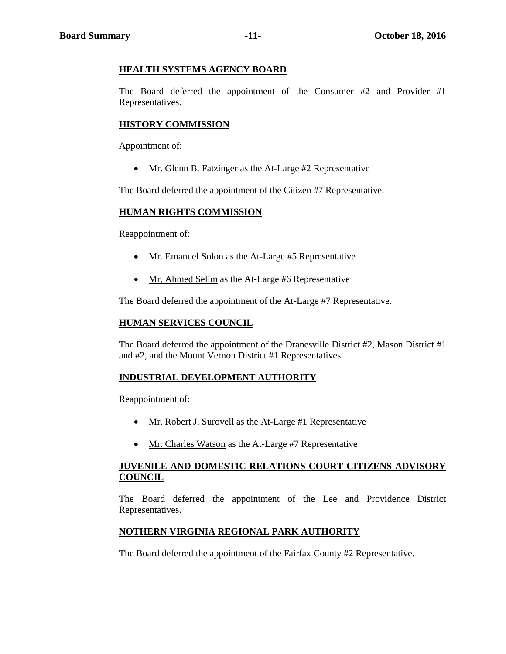#### **HEALTH SYSTEMS AGENCY BOARD**

The Board deferred the appointment of the Consumer #2 and Provider #1 Representatives.

#### **HISTORY COMMISSION**

Appointment of:

• Mr. Glenn B. Fatzinger as the At-Large #2 Representative

The Board deferred the appointment of the Citizen #7 Representative.

#### **HUMAN RIGHTS COMMISSION**

Reappointment of:

- Mr. Emanuel Solon as the At-Large #5 Representative
- Mr. Ahmed Selim as the At-Large #6 Representative

The Board deferred the appointment of the At-Large #7 Representative.

#### **HUMAN SERVICES COUNCIL**

The Board deferred the appointment of the Dranesville District #2, Mason District #1 and #2, and the Mount Vernon District #1 Representatives.

#### **INDUSTRIAL DEVELOPMENT AUTHORITY**

Reappointment of:

- Mr. Robert J. Surovell as the At-Large #1 Representative
- Mr. Charles Watson as the At-Large #7 Representative

#### **JUVENILE AND DOMESTIC RELATIONS COURT CITIZENS ADVISORY COUNCIL**

The Board deferred the appointment of the Lee and Providence District Representatives.

#### **NOTHERN VIRGINIA REGIONAL PARK AUTHORITY**

The Board deferred the appointment of the Fairfax County #2 Representative.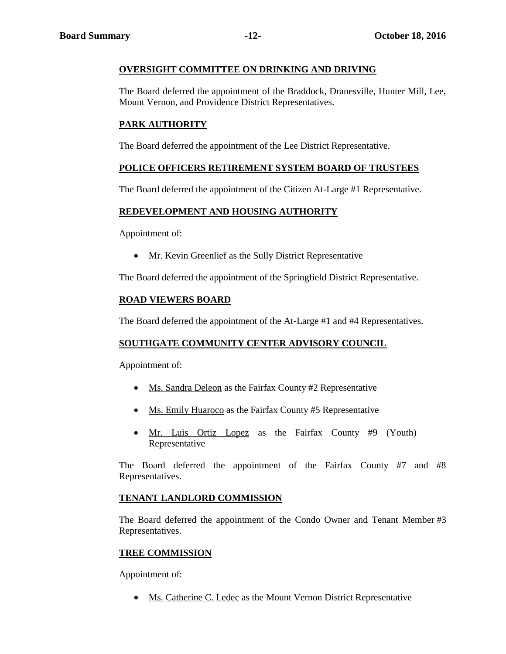#### **OVERSIGHT COMMITTEE ON DRINKING AND DRIVING**

The Board deferred the appointment of the Braddock, Dranesville, Hunter Mill, Lee, Mount Vernon, and Providence District Representatives.

# **PARK AUTHORITY**

The Board deferred the appointment of the Lee District Representative.

#### **POLICE OFFICERS RETIREMENT SYSTEM BOARD OF TRUSTEES**

The Board deferred the appointment of the Citizen At-Large #1 Representative.

#### **REDEVELOPMENT AND HOUSING AUTHORITY**

Appointment of:

Mr. Kevin Greenlief as the Sully District Representative

The Board deferred the appointment of the Springfield District Representative.

#### **ROAD VIEWERS BOARD**

The Board deferred the appointment of the At-Large #1 and #4 Representatives.

#### **SOUTHGATE COMMUNITY CENTER ADVISORY COUNCIL**

Appointment of:

- Ms. Sandra Deleon as the Fairfax County #2 Representative
- Ms. Emily Huaroco as the Fairfax County #5 Representative
- Mr. Luis Ortiz Lopez as the Fairfax County #9 (Youth) Representative

The Board deferred the appointment of the Fairfax County #7 and #8 Representatives.

#### **TENANT LANDLORD COMMISSION**

The Board deferred the appointment of the Condo Owner and Tenant Member #3 Representatives.

#### **TREE COMMISSION**

Appointment of:

• Ms. Catherine C. Ledec as the Mount Vernon District Representative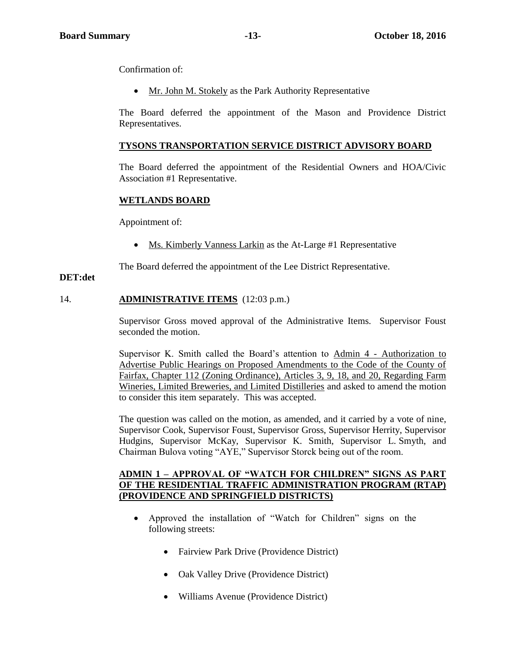Confirmation of:

• Mr. John M. Stokely as the Park Authority Representative

The Board deferred the appointment of the Mason and Providence District Representatives.

#### **TYSONS TRANSPORTATION SERVICE DISTRICT ADVISORY BOARD**

The Board deferred the appointment of the Residential Owners and HOA/Civic Association #1 Representative.

#### **WETLANDS BOARD**

Appointment of:

• Ms. Kimberly Vanness Larkin as the At-Large #1 Representative

The Board deferred the appointment of the Lee District Representative.

#### **DET:det**

#### 14. **ADMINISTRATIVE ITEMS** (12:03 p.m.)

Supervisor Gross moved approval of the Administrative Items. Supervisor Foust seconded the motion.

Supervisor K. Smith called the Board's attention to Admin 4 - Authorization to Advertise Public Hearings on Proposed Amendments to the Code of the County of Fairfax, Chapter 112 (Zoning Ordinance), Articles 3, 9, 18, and 20, Regarding Farm Wineries, Limited Breweries, and Limited Distilleries and asked to amend the motion to consider this item separately. This was accepted.

The question was called on the motion, as amended, and it carried by a vote of nine, Supervisor Cook, Supervisor Foust, Supervisor Gross, Supervisor Herrity, Supervisor Hudgins, Supervisor McKay, Supervisor K. Smith, Supervisor L. Smyth, and Chairman Bulova voting "AYE," Supervisor Storck being out of the room.

#### **ADMIN 1 – APPROVAL OF "WATCH FOR CHILDREN" SIGNS AS PART OF THE RESIDENTIAL TRAFFIC ADMINISTRATION PROGRAM (RTAP) (PROVIDENCE AND SPRINGFIELD DISTRICTS)**

- Approved the installation of "Watch for Children" signs on the following streets:
	- Fairview Park Drive (Providence District)
	- Oak Valley Drive (Providence District)
	- Williams Avenue (Providence District)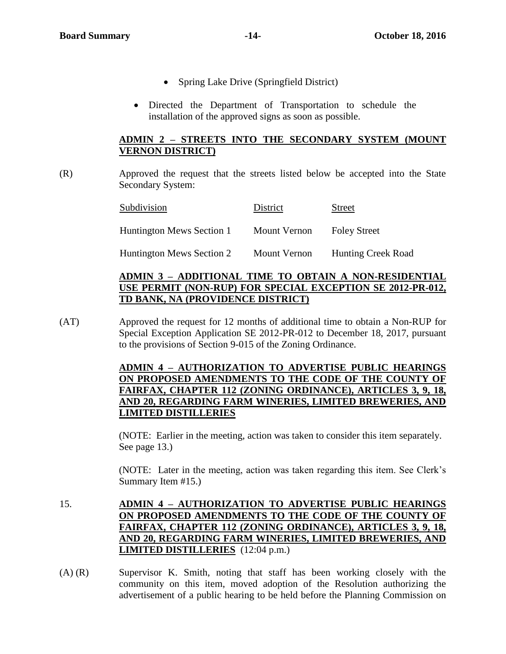- Spring Lake Drive (Springfield District)
- Directed the Department of Transportation to schedule the installation of the approved signs as soon as possible.

#### **ADMIN 2 – STREETS INTO THE SECONDARY SYSTEM (MOUNT VERNON DISTRICT)**

(R) Approved the request that the streets listed below be accepted into the State Secondary System:

| Subdivision               | District     | <b>Street</b>             |
|---------------------------|--------------|---------------------------|
| Huntington Mews Section 1 | Mount Vernon | <b>Foley Street</b>       |
| Huntington Mews Section 2 | Mount Vernon | <b>Hunting Creek Road</b> |

# **ADMIN 3 – ADDITIONAL TIME TO OBTAIN A NON-RESIDENTIAL USE PERMIT (NON-RUP) FOR SPECIAL EXCEPTION SE 2012-PR-012, TD BANK, NA (PROVIDENCE DISTRICT)**

(AT) Approved the request for 12 months of additional time to obtain a Non-RUP for Special Exception Application SE 2012-PR-012 to December 18, 2017, pursuant to the provisions of Section 9-015 of the Zoning Ordinance.

# **ADMIN 4 – AUTHORIZATION TO ADVERTISE PUBLIC HEARINGS ON PROPOSED AMENDMENTS TO THE CODE OF THE COUNTY OF FAIRFAX, CHAPTER 112 (ZONING ORDINANCE), ARTICLES 3, 9, 18, AND 20, REGARDING FARM WINERIES, LIMITED BREWERIES, AND LIMITED DISTILLERIES**

(NOTE: Earlier in the meeting, action was taken to consider this item separately. See page 13.)

(NOTE: Later in the meeting, action was taken regarding this item. See Clerk's Summary Item #15.)

- 15. **ADMIN 4 – AUTHORIZATION TO ADVERTISE PUBLIC HEARINGS ON PROPOSED AMENDMENTS TO THE CODE OF THE COUNTY OF FAIRFAX, CHAPTER 112 (ZONING ORDINANCE), ARTICLES 3, 9, 18, AND 20, REGARDING FARM WINERIES, LIMITED BREWERIES, AND LIMITED DISTILLERIES** (12:04 p.m.)
- (A) (R) Supervisor K. Smith, noting that staff has been working closely with the community on this item, moved adoption of the Resolution authorizing the advertisement of a public hearing to be held before the Planning Commission on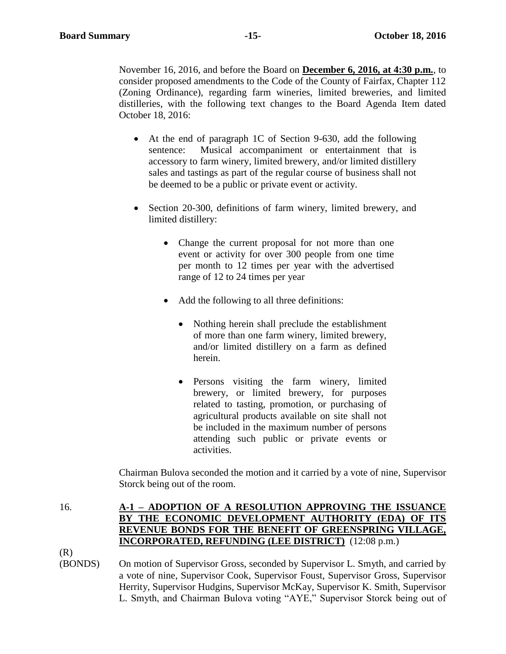November 16, 2016, and before the Board on **December 6, 2016, at 4:30 p.m.**, to consider proposed amendments to the Code of the County of Fairfax, Chapter 112 (Zoning Ordinance), regarding farm wineries, limited breweries, and limited distilleries, with the following text changes to the Board Agenda Item dated October 18, 2016:

- At the end of paragraph 1C of Section 9-630, add the following sentence: Musical accompaniment or entertainment that is accessory to farm winery, limited brewery, and/or limited distillery sales and tastings as part of the regular course of business shall not be deemed to be a public or private event or activity.
- Section 20-300, definitions of farm winery, limited brewery, and limited distillery:
	- Change the current proposal for not more than one event or activity for over 300 people from one time per month to 12 times per year with the advertised range of 12 to 24 times per year
	- Add the following to all three definitions:
		- Nothing herein shall preclude the establishment of more than one farm winery, limited brewery, and/or limited distillery on a farm as defined herein.
		- Persons visiting the farm winery, limited brewery, or limited brewery, for purposes related to tasting, promotion, or purchasing of agricultural products available on site shall not be included in the maximum number of persons attending such public or private events or activities.

Chairman Bulova seconded the motion and it carried by a vote of nine, Supervisor Storck being out of the room.

# 16. **A-1 – ADOPTION OF A RESOLUTION APPROVING THE ISSUANCE BY THE ECONOMIC DEVELOPMENT AUTHORITY (EDA) OF ITS REVENUE BONDS FOR THE BENEFIT OF GREENSPRING VILLAGE, INCORPORATED, REFUNDING (LEE DISTRICT)** (12:08 p.m.)

(R)

(BONDS) On motion of Supervisor Gross, seconded by Supervisor L. Smyth, and carried by a vote of nine, Supervisor Cook, Supervisor Foust, Supervisor Gross, Supervisor Herrity, Supervisor Hudgins, Supervisor McKay, Supervisor K. Smith, Supervisor L. Smyth, and Chairman Bulova voting "AYE," Supervisor Storck being out of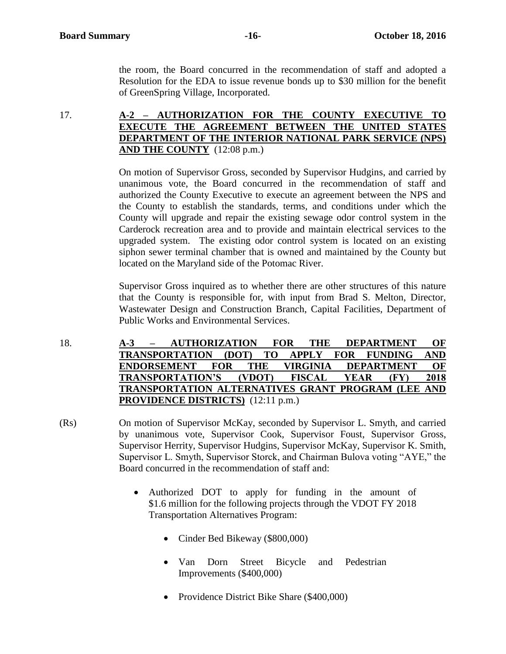the room, the Board concurred in the recommendation of staff and adopted a Resolution for the EDA to issue revenue bonds up to \$30 million for the benefit of GreenSpring Village, Incorporated.

#### 17. **A-2 – AUTHORIZATION FOR THE COUNTY EXECUTIVE TO EXECUTE THE AGREEMENT BETWEEN THE UNITED STATES DEPARTMENT OF THE INTERIOR NATIONAL PARK SERVICE (NPS) AND THE COUNTY** (12:08 p.m.)

On motion of Supervisor Gross, seconded by Supervisor Hudgins, and carried by unanimous vote, the Board concurred in the recommendation of staff and authorized the County Executive to execute an agreement between the NPS and the County to establish the standards, terms, and conditions under which the County will upgrade and repair the existing sewage odor control system in the Carderock recreation area and to provide and maintain electrical services to the upgraded system. The existing odor control system is located on an existing siphon sewer terminal chamber that is owned and maintained by the County but located on the Maryland side of the Potomac River.

Supervisor Gross inquired as to whether there are other structures of this nature that the County is responsible for, with input from Brad S. Melton, Director, Wastewater Design and Construction Branch, Capital Facilities, Department of Public Works and Environmental Services.

- 18. **A-3 – AUTHORIZATION FOR THE DEPARTMENT OF TRANSPORTATION (DOT) TO APPLY FOR FUNDING AND ENDORSEMENT FOR THE VIRGINIA DEPARTMENT OF TRANSPORTATION'S (VDOT) FISCAL YEAR (FY) 2018 TRANSPORTATION ALTERNATIVES GRANT PROGRAM (LEE AND PROVIDENCE DISTRICTS)** (12:11 p.m.)
- (Rs) On motion of Supervisor McKay, seconded by Supervisor L. Smyth, and carried by unanimous vote, Supervisor Cook, Supervisor Foust, Supervisor Gross, Supervisor Herrity, Supervisor Hudgins, Supervisor McKay, Supervisor K. Smith, Supervisor L. Smyth, Supervisor Storck, and Chairman Bulova voting "AYE," the Board concurred in the recommendation of staff and:
	- Authorized DOT to apply for funding in the amount of \$1.6 million for the following projects through the VDOT FY 2018 Transportation Alternatives Program:
		- Cinder Bed Bikeway (\$800,000)
		- Van Dorn Street Bicycle and Pedestrian Improvements (\$400,000)
		- Providence District Bike Share (\$400,000)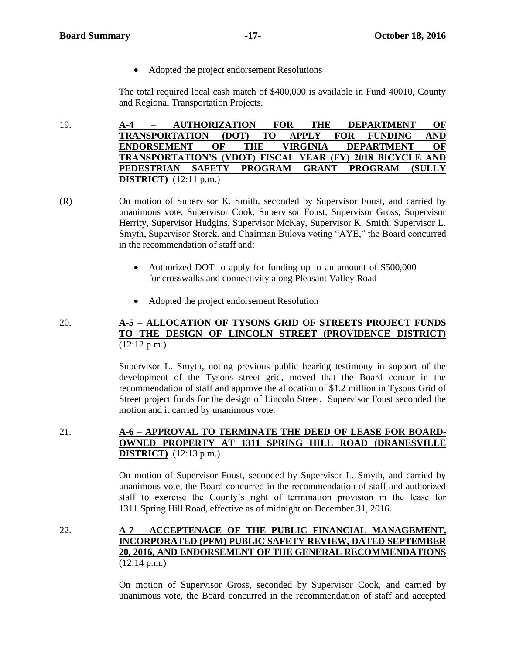• Adopted the project endorsement Resolutions

The total required local cash match of \$400,000 is available in Fund 40010, County and Regional Transportation Projects.

19. **A-4 – AUTHORIZATION FOR THE DEPARTMENT OF TRANSPORTATION (DOT) TO APPLY FOR FUNDING AND ENDORSEMENT OF THE VIRGINIA DEPARTMENT OF TRANSPORTATION'S (VDOT) FISCAL YEAR (FY) 2018 BICYCLE AND PEDESTRIAN SAFETY PROGRAM GRANT PROGRAM (SULLY DISTRICT)** (12:11 p.m.)

- (R) On motion of Supervisor K. Smith, seconded by Supervisor Foust, and carried by unanimous vote, Supervisor Cook, Supervisor Foust, Supervisor Gross, Supervisor Herrity, Supervisor Hudgins, Supervisor McKay, Supervisor K. Smith, Supervisor L. Smyth, Supervisor Storck, and Chairman Bulova voting "AYE," the Board concurred in the recommendation of staff and:
	- Authorized DOT to apply for funding up to an amount of \$500,000 for crosswalks and connectivity along Pleasant Valley Road
	- Adopted the project endorsement Resolution

#### 20. **A-5 – ALLOCATION OF TYSONS GRID OF STREETS PROJECT FUNDS TO THE DESIGN OF LINCOLN STREET (PROVIDENCE DISTRICT)**  $(12:12 \text{ p.m.})$

Supervisor L. Smyth, noting previous public hearing testimony in support of the development of the Tysons street grid, moved that the Board concur in the recommendation of staff and approve the allocation of \$1.2 million in Tysons Grid of Street project funds for the design of Lincoln Street. Supervisor Foust seconded the motion and it carried by unanimous vote.

# 21. **A-6 – APPROVAL TO TERMINATE THE DEED OF LEASE FOR BOARD-OWNED PROPERTY AT 1311 SPRING HILL ROAD (DRANESVILLE DISTRICT)** (12:13 p.m.)

On motion of Supervisor Foust, seconded by Supervisor L. Smyth, and carried by unanimous vote, the Board concurred in the recommendation of staff and authorized staff to exercise the County's right of termination provision in the lease for 1311 Spring Hill Road, effective as of midnight on December 31, 2016.

22. **A-7 – ACCEPTENACE OF THE PUBLIC FINANCIAL MANAGEMENT, INCORPORATED (PFM) PUBLIC SAFETY REVIEW, DATED SEPTEMBER 20, 2016, AND ENDORSEMENT OF THE GENERAL RECOMMENDATIONS** (12:14 p.m.)

> On motion of Supervisor Gross, seconded by Supervisor Cook, and carried by unanimous vote, the Board concurred in the recommendation of staff and accepted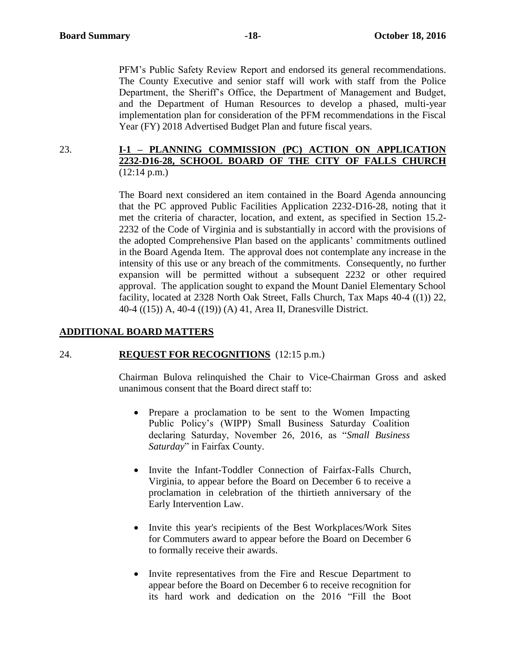PFM's Public Safety Review Report and endorsed its general recommendations. The County Executive and senior staff will work with staff from the Police Department, the Sheriff's Office, the Department of Management and Budget, and the Department of Human Resources to develop a phased, multi-year implementation plan for consideration of the PFM recommendations in the Fiscal Year (FY) 2018 Advertised Budget Plan and future fiscal years.

#### 23. **I-1 – PLANNING COMMISSION (PC) ACTION ON APPLICATION 2232-D16-28, SCHOOL BOARD OF THE CITY OF FALLS CHURCH** (12:14 p.m.)

The Board next considered an item contained in the Board Agenda announcing that the PC approved Public Facilities Application 2232-D16-28, noting that it met the criteria of character, location, and extent, as specified in Section 15.2- 2232 of the Code of Virginia and is substantially in accord with the provisions of the adopted Comprehensive Plan based on the applicants' commitments outlined in the Board Agenda Item. The approval does not contemplate any increase in the intensity of this use or any breach of the commitments. Consequently, no further expansion will be permitted without a subsequent 2232 or other required approval. The application sought to expand the Mount Daniel Elementary School facility, located at 2328 North Oak Street, Falls Church, Tax Maps 40-4 ((1)) 22, 40-4 ((15)) A, 40-4 ((19)) (A) 41, Area II, Dranesville District.

#### **ADDITIONAL BOARD MATTERS**

#### 24. **REQUEST FOR RECOGNITIONS** (12:15 p.m.)

Chairman Bulova relinquished the Chair to Vice-Chairman Gross and asked unanimous consent that the Board direct staff to:

- Prepare a proclamation to be sent to the Women Impacting Public Policy's (WIPP) Small Business Saturday Coalition declaring Saturday, November 26, 2016, as "*Small Business Saturday*" in Fairfax County.
- Invite the Infant-Toddler Connection of Fairfax-Falls Church, Virginia, to appear before the Board on December 6 to receive a proclamation in celebration of the thirtieth anniversary of the Early Intervention Law.
- Invite this year's recipients of the Best Workplaces/Work Sites for Commuters award to appear before the Board on December 6 to formally receive their awards.
- Invite representatives from the Fire and Rescue Department to appear before the Board on December 6 to receive recognition for its hard work and dedication on the 2016 "Fill the Boot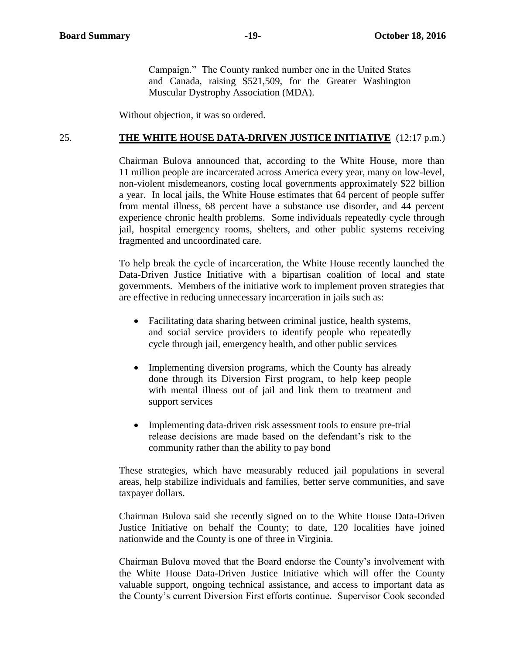Campaign." The County ranked number one in the United States and Canada, raising \$521,509, for the Greater Washington Muscular Dystrophy Association (MDA).

Without objection, it was so ordered.

#### 25. **THE WHITE HOUSE DATA-DRIVEN JUSTICE INITIATIVE** (12:17 p.m.)

Chairman Bulova announced that, according to the White House, more than 11 million people are incarcerated across America every year, many on low-level, non-violent misdemeanors, costing local governments approximately \$22 billion a year. In local jails, the White House estimates that 64 percent of people suffer from mental illness, 68 percent have a substance use disorder, and 44 percent experience chronic health problems. Some individuals repeatedly cycle through jail, hospital emergency rooms, shelters, and other public systems receiving fragmented and uncoordinated care.

To help break the cycle of incarceration, the White House recently launched the Data-Driven Justice Initiative with a bipartisan coalition of local and state governments. Members of the initiative work to implement proven strategies that are effective in reducing unnecessary incarceration in jails such as:

- Facilitating data sharing between criminal justice, health systems, and social service providers to identify people who repeatedly cycle through jail, emergency health, and other public services
- Implementing diversion programs, which the County has already done through its Diversion First program, to help keep people with mental illness out of jail and link them to treatment and support services
- Implementing data-driven risk assessment tools to ensure pre-trial release decisions are made based on the defendant's risk to the community rather than the ability to pay bond

These strategies, which have measurably reduced jail populations in several areas, help stabilize individuals and families, better serve communities, and save taxpayer dollars.

Chairman Bulova said she recently signed on to the White House Data-Driven Justice Initiative on behalf the County; to date, 120 localities have joined nationwide and the County is one of three in Virginia.

Chairman Bulova moved that the Board endorse the County's involvement with the White House Data-Driven Justice Initiative which will offer the County valuable support, ongoing technical assistance, and access to important data as the County's current Diversion First efforts continue. Supervisor Cook seconded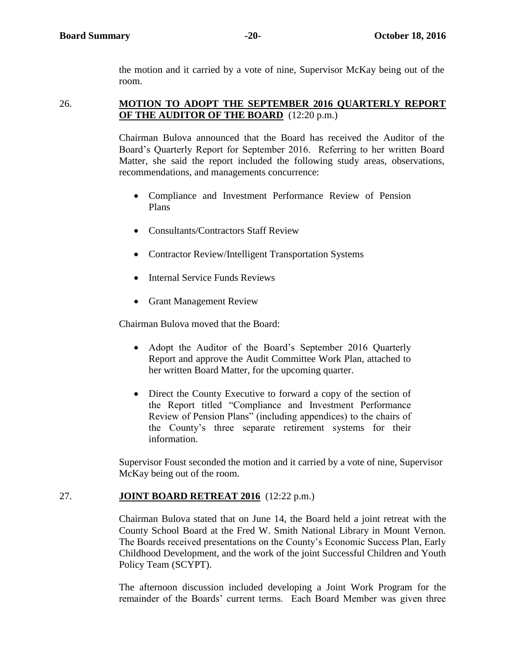the motion and it carried by a vote of nine, Supervisor McKay being out of the room.

#### 26. **MOTION TO ADOPT THE SEPTEMBER 2016 QUARTERLY REPORT OF THE AUDITOR OF THE BOARD** (12:20 p.m.)

Chairman Bulova announced that the Board has received the Auditor of the Board's Quarterly Report for September 2016. Referring to her written Board Matter, she said the report included the following study areas, observations, recommendations, and managements concurrence:

- Compliance and Investment Performance Review of Pension Plans
- Consultants/Contractors Staff Review
- Contractor Review/Intelligent Transportation Systems
- Internal Service Funds Reviews
- Grant Management Review

Chairman Bulova moved that the Board:

- Adopt the Auditor of the Board's September 2016 Quarterly Report and approve the Audit Committee Work Plan, attached to her written Board Matter, for the upcoming quarter.
- Direct the County Executive to forward a copy of the section of the Report titled "Compliance and Investment Performance Review of Pension Plans" (including appendices) to the chairs of the County's three separate retirement systems for their information.

Supervisor Foust seconded the motion and it carried by a vote of nine, Supervisor McKay being out of the room.

# 27. **JOINT BOARD RETREAT 2016** (12:22 p.m.)

Chairman Bulova stated that on June 14, the Board held a joint retreat with the County School Board at the Fred W. Smith National Library in Mount Vernon. The Boards received presentations on the County's Economic Success Plan, Early Childhood Development, and the work of the joint Successful Children and Youth Policy Team (SCYPT).

The afternoon discussion included developing a Joint Work Program for the remainder of the Boards' current terms. Each Board Member was given three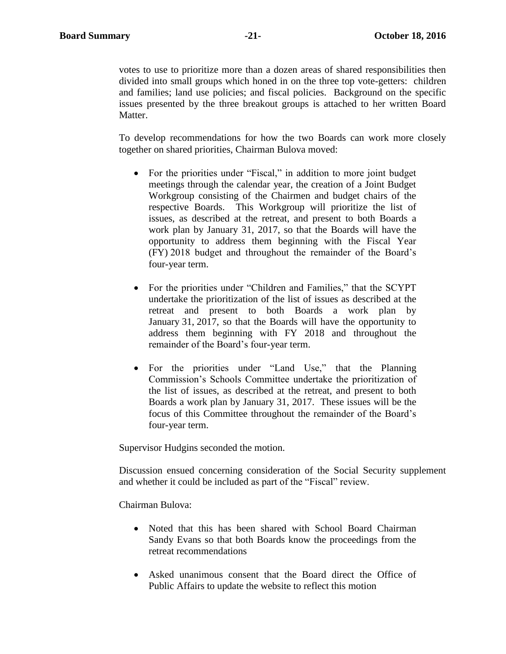votes to use to prioritize more than a dozen areas of shared responsibilities then divided into small groups which honed in on the three top vote-getters: children and families; land use policies; and fiscal policies. Background on the specific issues presented by the three breakout groups is attached to her written Board Matter.

To develop recommendations for how the two Boards can work more closely together on shared priorities, Chairman Bulova moved:

- For the priorities under "Fiscal," in addition to more joint budget meetings through the calendar year, the creation of a Joint Budget Workgroup consisting of the Chairmen and budget chairs of the respective Boards. This Workgroup will prioritize the list of issues, as described at the retreat, and present to both Boards a work plan by January 31, 2017, so that the Boards will have the opportunity to address them beginning with the Fiscal Year (FY) 2018 budget and throughout the remainder of the Board's four-year term.
- For the priorities under "Children and Families," that the SCYPT undertake the prioritization of the list of issues as described at the retreat and present to both Boards a work plan by January 31, 2017, so that the Boards will have the opportunity to address them beginning with FY 2018 and throughout the remainder of the Board's four-year term.
- For the priorities under "Land Use," that the Planning Commission's Schools Committee undertake the prioritization of the list of issues, as described at the retreat, and present to both Boards a work plan by January 31, 2017. These issues will be the focus of this Committee throughout the remainder of the Board's four-year term.

Supervisor Hudgins seconded the motion.

Discussion ensued concerning consideration of the Social Security supplement and whether it could be included as part of the "Fiscal" review.

Chairman Bulova:

- Noted that this has been shared with School Board Chairman Sandy Evans so that both Boards know the proceedings from the retreat recommendations
- Asked unanimous consent that the Board direct the Office of Public Affairs to update the website to reflect this motion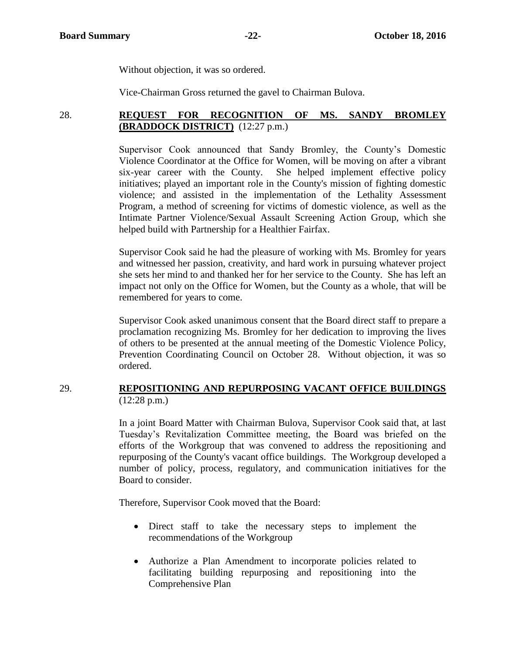Without objection, it was so ordered.

Vice-Chairman Gross returned the gavel to Chairman Bulova.

# 28. **REQUEST FOR RECOGNITION OF MS. SANDY BROMLEY (BRADDOCK DISTRICT)** (12:27 p.m.)

Supervisor Cook announced that Sandy Bromley, the County's Domestic Violence Coordinator at the Office for Women, will be moving on after a vibrant six-year career with the County. She helped implement effective policy initiatives; played an important role in the County's mission of fighting domestic violence; and assisted in the implementation of the Lethality Assessment Program, a method of screening for victims of domestic violence, as well as the Intimate Partner Violence/Sexual Assault Screening Action Group, which she helped build with Partnership for a Healthier Fairfax.

Supervisor Cook said he had the pleasure of working with Ms. Bromley for years and witnessed her passion, creativity, and hard work in pursuing whatever project she sets her mind to and thanked her for her service to the County. She has left an impact not only on the Office for Women, but the County as a whole, that will be remembered for years to come.

Supervisor Cook asked unanimous consent that the Board direct staff to prepare a proclamation recognizing Ms. Bromley for her dedication to improving the lives of others to be presented at the annual meeting of the Domestic Violence Policy, Prevention Coordinating Council on October 28. Without objection, it was so ordered.

### 29. **REPOSITIONING AND REPURPOSING VACANT OFFICE BUILDINGS**  $(12:28 \text{ p.m.})$

In a joint Board Matter with Chairman Bulova, Supervisor Cook said that, at last Tuesday's Revitalization Committee meeting, the Board was briefed on the efforts of the Workgroup that was convened to address the repositioning and repurposing of the County's vacant office buildings. The Workgroup developed a number of policy, process, regulatory, and communication initiatives for the Board to consider.

Therefore, Supervisor Cook moved that the Board:

- Direct staff to take the necessary steps to implement the recommendations of the Workgroup
- Authorize a Plan Amendment to incorporate policies related to facilitating building repurposing and repositioning into the Comprehensive Plan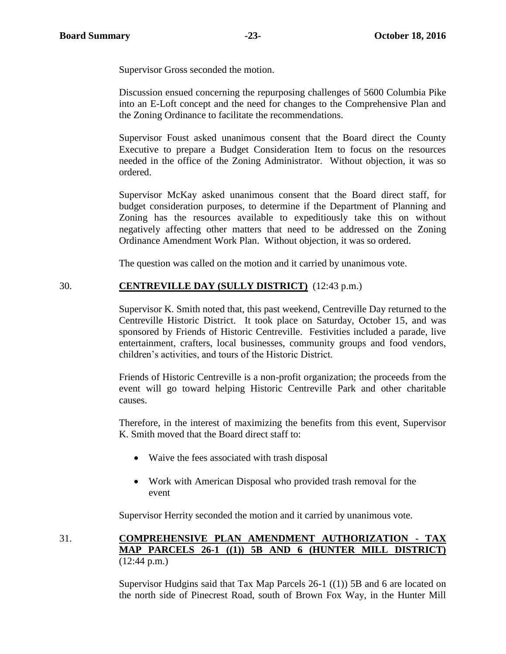Supervisor Gross seconded the motion.

Discussion ensued concerning the repurposing challenges of 5600 Columbia Pike into an E-Loft concept and the need for changes to the Comprehensive Plan and the Zoning Ordinance to facilitate the recommendations.

Supervisor Foust asked unanimous consent that the Board direct the County Executive to prepare a Budget Consideration Item to focus on the resources needed in the office of the Zoning Administrator. Without objection, it was so ordered.

Supervisor McKay asked unanimous consent that the Board direct staff, for budget consideration purposes, to determine if the Department of Planning and Zoning has the resources available to expeditiously take this on without negatively affecting other matters that need to be addressed on the Zoning Ordinance Amendment Work Plan. Without objection, it was so ordered.

The question was called on the motion and it carried by unanimous vote.

### 30. **CENTREVILLE DAY (SULLY DISTRICT)** (12:43 p.m.)

Supervisor K. Smith noted that, this past weekend, Centreville Day returned to the Centreville Historic District. It took place on Saturday, October 15, and was sponsored by Friends of Historic Centreville. Festivities included a parade, live entertainment, crafters, local businesses, community groups and food vendors, children's activities, and tours of the Historic District.

Friends of Historic Centreville is a non-profit organization; the proceeds from the event will go toward helping Historic Centreville Park and other charitable causes.

Therefore, in the interest of maximizing the benefits from this event, Supervisor K. Smith moved that the Board direct staff to:

- Waive the fees associated with trash disposal
- Work with American Disposal who provided trash removal for the event

Supervisor Herrity seconded the motion and it carried by unanimous vote.

31. **COMPREHENSIVE PLAN AMENDMENT AUTHORIZATION - TAX MAP PARCELS 26-1 ((1)) 5B AND 6 (HUNTER MILL DISTRICT)** (12:44 p.m.)

> Supervisor Hudgins said that Tax Map Parcels 26-1 ((1)) 5B and 6 are located on the north side of Pinecrest Road, south of Brown Fox Way, in the Hunter Mill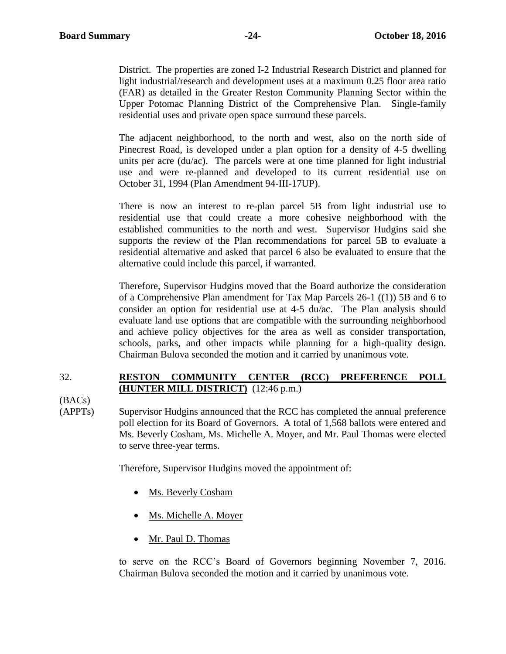District. The properties are zoned I-2 Industrial Research District and planned for light industrial/research and development uses at a maximum 0.25 floor area ratio (FAR) as detailed in the Greater Reston Community Planning Sector within the Upper Potomac Planning District of the Comprehensive Plan. Single-family residential uses and private open space surround these parcels.

The adjacent neighborhood, to the north and west, also on the north side of Pinecrest Road, is developed under a plan option for a density of 4-5 dwelling units per acre (du/ac). The parcels were at one time planned for light industrial use and were re-planned and developed to its current residential use on October 31, 1994 (Plan Amendment 94-III-17UP).

There is now an interest to re-plan parcel 5B from light industrial use to residential use that could create a more cohesive neighborhood with the established communities to the north and west. Supervisor Hudgins said she supports the review of the Plan recommendations for parcel 5B to evaluate a residential alternative and asked that parcel 6 also be evaluated to ensure that the alternative could include this parcel, if warranted.

Therefore, Supervisor Hudgins moved that the Board authorize the consideration of a Comprehensive Plan amendment for Tax Map Parcels 26-1 ((1)) 5B and 6 to consider an option for residential use at 4-5 du/ac. The Plan analysis should evaluate land use options that are compatible with the surrounding neighborhood and achieve policy objectives for the area as well as consider transportation, schools, parks, and other impacts while planning for a high-quality design. Chairman Bulova seconded the motion and it carried by unanimous vote.

# 32. **RESTON COMMUNITY CENTER (RCC) PREFERENCE POLL (HUNTER MILL DISTRICT)** (12:46 p.m.)

(BACs)

(APPTs) Supervisor Hudgins announced that the RCC has completed the annual preference poll election for its Board of Governors. A total of 1,568 ballots were entered and Ms. Beverly Cosham, Ms. Michelle A. Moyer, and Mr. Paul Thomas were elected to serve three-year terms.

Therefore, Supervisor Hudgins moved the appointment of:

- Ms. Beverly Cosham
- Ms. Michelle A. Moyer
- Mr. Paul D. Thomas

to serve on the RCC's Board of Governors beginning November 7, 2016. Chairman Bulova seconded the motion and it carried by unanimous vote.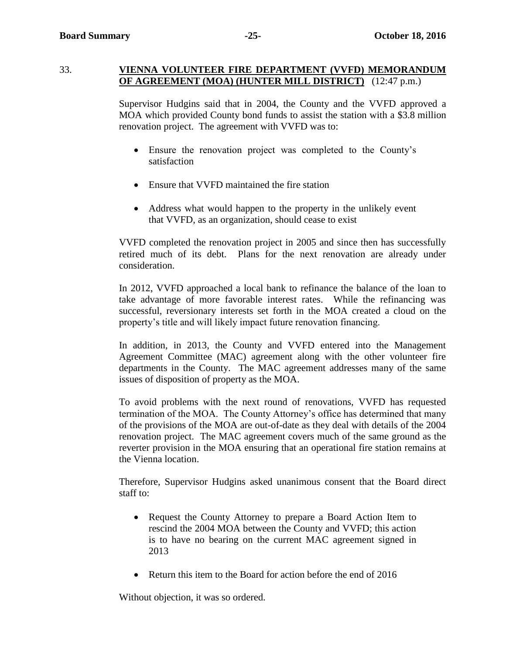#### 33. **VIENNA VOLUNTEER FIRE DEPARTMENT (VVFD) MEMORANDUM OF AGREEMENT (MOA) (HUNTER MILL DISTRICT)** (12:47 p.m.)

Supervisor Hudgins said that in 2004, the County and the VVFD approved a MOA which provided County bond funds to assist the station with a \$3.8 million renovation project. The agreement with VVFD was to:

- Ensure the renovation project was completed to the County's satisfaction
- Ensure that VVFD maintained the fire station
- Address what would happen to the property in the unlikely event that VVFD, as an organization, should cease to exist

VVFD completed the renovation project in 2005 and since then has successfully retired much of its debt. Plans for the next renovation are already under consideration.

In 2012, VVFD approached a local bank to refinance the balance of the loan to take advantage of more favorable interest rates. While the refinancing was successful, reversionary interests set forth in the MOA created a cloud on the property's title and will likely impact future renovation financing.

In addition, in 2013, the County and VVFD entered into the Management Agreement Committee (MAC) agreement along with the other volunteer fire departments in the County. The MAC agreement addresses many of the same issues of disposition of property as the MOA.

To avoid problems with the next round of renovations, VVFD has requested termination of the MOA. The County Attorney's office has determined that many of the provisions of the MOA are out-of-date as they deal with details of the 2004 renovation project. The MAC agreement covers much of the same ground as the reverter provision in the MOA ensuring that an operational fire station remains at the Vienna location.

Therefore, Supervisor Hudgins asked unanimous consent that the Board direct staff to:

- Request the County Attorney to prepare a Board Action Item to rescind the 2004 MOA between the County and VVFD; this action is to have no bearing on the current MAC agreement signed in 2013
- Return this item to the Board for action before the end of 2016

Without objection, it was so ordered.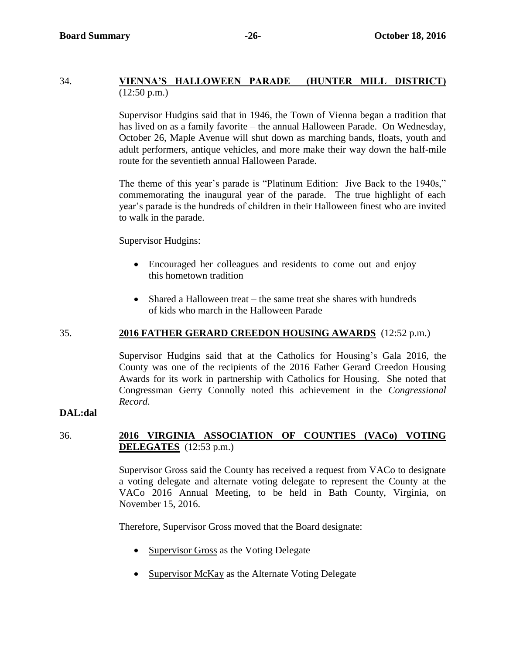# 34. **VIENNA'S HALLOWEEN PARADE (HUNTER MILL DISTRICT)**  $(12:50 \text{ p.m.})$

Supervisor Hudgins said that in 1946, the Town of Vienna began a tradition that has lived on as a family favorite – the annual Halloween Parade. On Wednesday, October 26, Maple Avenue will shut down as marching bands, floats, youth and adult performers, antique vehicles, and more make their way down the half-mile route for the seventieth annual Halloween Parade.

The theme of this year's parade is "Platinum Edition: Jive Back to the 1940s," commemorating the inaugural year of the parade. The true highlight of each year's parade is the hundreds of children in their Halloween finest who are invited to walk in the parade.

Supervisor Hudgins:

- Encouraged her colleagues and residents to come out and enjoy this hometown tradition
- Shared a Halloween treat the same treat she shares with hundreds of kids who march in the Halloween Parade

# 35. **2016 FATHER GERARD CREEDON HOUSING AWARDS** (12:52 p.m.)

Supervisor Hudgins said that at the Catholics for Housing's Gala 2016, the County was one of the recipients of the 2016 Father Gerard Creedon Housing Awards for its work in partnership with Catholics for Housing. She noted that Congressman Gerry Connolly noted this achievement in the *Congressional Record*.

#### **DAL:dal**

# 36. **2016 VIRGINIA ASSOCIATION OF COUNTIES (VACo) VOTING DELEGATES** (12:53 p.m.)

Supervisor Gross said the County has received a request from VACo to designate a voting delegate and alternate voting delegate to represent the County at the VACo 2016 Annual Meeting, to be held in Bath County, Virginia, on November 15, 2016.

Therefore, Supervisor Gross moved that the Board designate:

- Supervisor Gross as the Voting Delegate
- Supervisor McKay as the Alternate Voting Delegate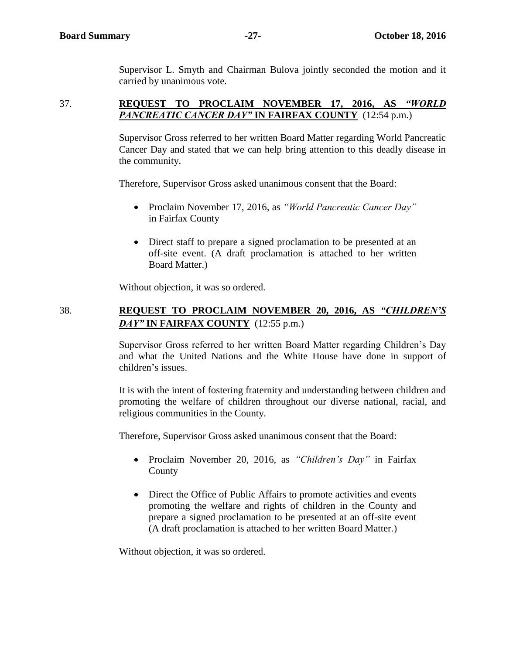Supervisor L. Smyth and Chairman Bulova jointly seconded the motion and it carried by unanimous vote.

### 37. **REQUEST TO PROCLAIM NOVEMBER 17, 2016, AS** *"WORLD PANCREATIC CANCER DAY"* **IN FAIRFAX COUNTY** (12:54 p.m.)

Supervisor Gross referred to her written Board Matter regarding World Pancreatic Cancer Day and stated that we can help bring attention to this deadly disease in the community.

Therefore, Supervisor Gross asked unanimous consent that the Board:

- Proclaim November 17, 2016, as *"World Pancreatic Cancer Day"* in Fairfax County
- Direct staff to prepare a signed proclamation to be presented at an off-site event. (A draft proclamation is attached to her written Board Matter.)

Without objection, it was so ordered.

# 38. **REQUEST TO PROCLAIM NOVEMBER 20, 2016, AS** *"CHILDREN'S DAY"* **IN FAIRFAX COUNTY** (12:55 p.m.)

Supervisor Gross referred to her written Board Matter regarding Children's Day and what the United Nations and the White House have done in support of children's issues.

It is with the intent of fostering fraternity and understanding between children and promoting the welfare of children throughout our diverse national, racial, and religious communities in the County.

Therefore, Supervisor Gross asked unanimous consent that the Board:

- Proclaim November 20, 2016, as *"Children's Day"* in Fairfax County
- Direct the Office of Public Affairs to promote activities and events promoting the welfare and rights of children in the County and prepare a signed proclamation to be presented at an off-site event (A draft proclamation is attached to her written Board Matter.)

Without objection, it was so ordered.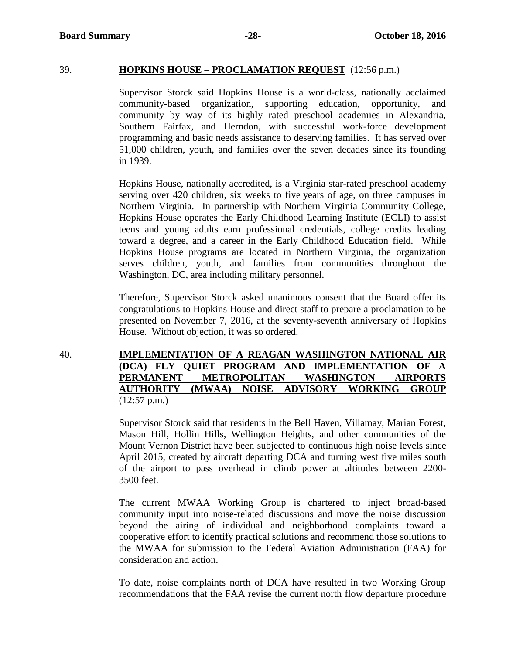#### 39. **HOPKINS HOUSE – PROCLAMATION REQUEST** (12:56 p.m.)

Supervisor Storck said Hopkins House is a world-class, nationally acclaimed community-based organization, supporting education, opportunity, and community by way of its highly rated preschool academies in Alexandria, Southern Fairfax, and Herndon, with successful work-force development programming and basic needs assistance to deserving families. It has served over 51,000 children, youth, and families over the seven decades since its founding in 1939.

Hopkins House, nationally accredited, is a Virginia star-rated preschool academy serving over 420 children, six weeks to five years of age, on three campuses in Northern Virginia. In partnership with Northern Virginia Community College, Hopkins House operates the Early Childhood Learning Institute (ECLI) to assist teens and young adults earn professional credentials, college credits leading toward a degree, and a career in the Early Childhood Education field. While Hopkins House programs are located in Northern Virginia, the organization serves children, youth, and families from communities throughout the Washington, DC, area including military personnel.

Therefore, Supervisor Storck asked unanimous consent that the Board offer its congratulations to Hopkins House and direct staff to prepare a proclamation to be presented on November 7, 2016, at the seventy-seventh anniversary of Hopkins House. Without objection, it was so ordered.

40. **IMPLEMENTATION OF A REAGAN WASHINGTON NATIONAL AIR (DCA) FLY QUIET PROGRAM AND IMPLEMENTATION OF A PERMANENT METROPOLITAN WASHINGTON AIRPORTS AUTHORITY (MWAA) NOISE ADVISORY WORKING GROUP**  $(12:57 \text{ p.m.})$ 

> Supervisor Storck said that residents in the Bell Haven, Villamay, Marian Forest, Mason Hill, Hollin Hills, Wellington Heights, and other communities of the Mount Vernon District have been subjected to continuous high noise levels since April 2015, created by aircraft departing DCA and turning west five miles south of the airport to pass overhead in climb power at altitudes between 2200- 3500 feet.

> The current MWAA Working Group is chartered to inject broad-based community input into noise-related discussions and move the noise discussion beyond the airing of individual and neighborhood complaints toward a cooperative effort to identify practical solutions and recommend those solutions to the MWAA for submission to the Federal Aviation Administration (FAA) for consideration and action.

> To date, noise complaints north of DCA have resulted in two Working Group recommendations that the FAA revise the current north flow departure procedure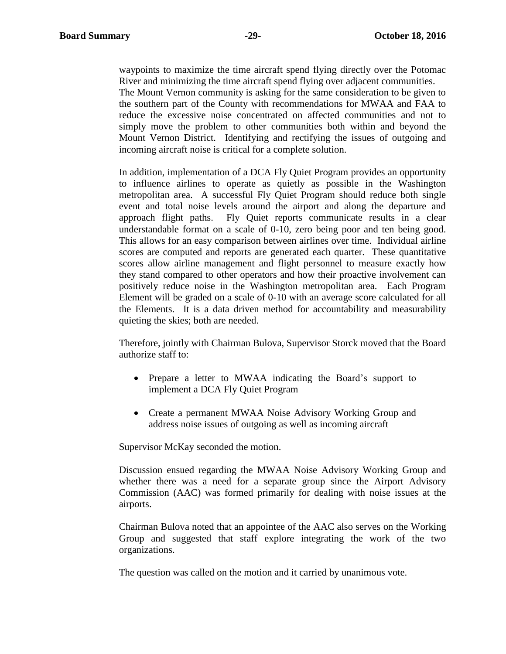waypoints to maximize the time aircraft spend flying directly over the Potomac River and minimizing the time aircraft spend flying over adjacent communities.

The Mount Vernon community is asking for the same consideration to be given to the southern part of the County with recommendations for MWAA and FAA to reduce the excessive noise concentrated on affected communities and not to simply move the problem to other communities both within and beyond the Mount Vernon District. Identifying and rectifying the issues of outgoing and incoming aircraft noise is critical for a complete solution.

In addition, implementation of a DCA Fly Quiet Program provides an opportunity to influence airlines to operate as quietly as possible in the Washington metropolitan area. A successful Fly Quiet Program should reduce both single event and total noise levels around the airport and along the departure and approach flight paths. Fly Quiet reports communicate results in a clear understandable format on a scale of 0-10, zero being poor and ten being good. This allows for an easy comparison between airlines over time. Individual airline scores are computed and reports are generated each quarter. These quantitative scores allow airline management and flight personnel to measure exactly how they stand compared to other operators and how their proactive involvement can positively reduce noise in the Washington metropolitan area. Each Program Element will be graded on a scale of 0-10 with an average score calculated for all the Elements. It is a data driven method for accountability and measurability quieting the skies; both are needed.

Therefore, jointly with Chairman Bulova, Supervisor Storck moved that the Board authorize staff to:

- Prepare a letter to MWAA indicating the Board's support to implement a DCA Fly Quiet Program
- Create a permanent MWAA Noise Advisory Working Group and address noise issues of outgoing as well as incoming aircraft

Supervisor McKay seconded the motion.

Discussion ensued regarding the MWAA Noise Advisory Working Group and whether there was a need for a separate group since the Airport Advisory Commission (AAC) was formed primarily for dealing with noise issues at the airports.

Chairman Bulova noted that an appointee of the AAC also serves on the Working Group and suggested that staff explore integrating the work of the two organizations.

The question was called on the motion and it carried by unanimous vote.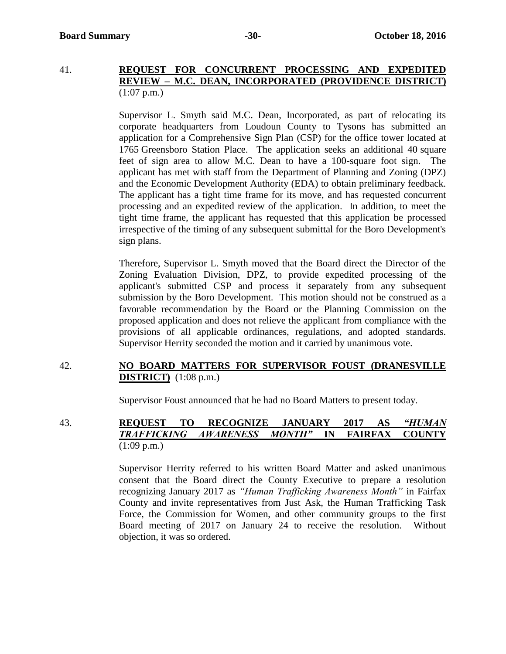#### 41. **REQUEST FOR CONCURRENT PROCESSING AND EXPEDITED REVIEW – M.C. DEAN, INCORPORATED (PROVIDENCE DISTRICT)**  $(1:07 \text{ p.m.})$

Supervisor L. Smyth said M.C. Dean, Incorporated, as part of relocating its corporate headquarters from Loudoun County to Tysons has submitted an application for a Comprehensive Sign Plan (CSP) for the office tower located at 1765 Greensboro Station Place. The application seeks an additional 40 square feet of sign area to allow M.C. Dean to have a 100-square foot sign. The applicant has met with staff from the Department of Planning and Zoning (DPZ) and the Economic Development Authority (EDA) to obtain preliminary feedback. The applicant has a tight time frame for its move, and has requested concurrent processing and an expedited review of the application. In addition, to meet the tight time frame, the applicant has requested that this application be processed irrespective of the timing of any subsequent submittal for the Boro Development's sign plans.

Therefore, Supervisor L. Smyth moved that the Board direct the Director of the Zoning Evaluation Division, DPZ, to provide expedited processing of the applicant's submitted CSP and process it separately from any subsequent submission by the Boro Development. This motion should not be construed as a favorable recommendation by the Board or the Planning Commission on the proposed application and does not relieve the applicant from compliance with the provisions of all applicable ordinances, regulations, and adopted standards. Supervisor Herrity seconded the motion and it carried by unanimous vote.

### 42. **NO BOARD MATTERS FOR SUPERVISOR FOUST (DRANESVILLE DISTRICT)** (1:08 p.m.)

Supervisor Foust announced that he had no Board Matters to present today.

43. **REQUEST TO RECOGNIZE JANUARY 2017 AS** *"HUMAN TRAFFICKING AWARENESS MONTH"* **IN FAIRFAX COUNTY** (1:09 p.m.)

> Supervisor Herrity referred to his written Board Matter and asked unanimous consent that the Board direct the County Executive to prepare a resolution recognizing January 2017 as *"Human Trafficking Awareness Month"* in Fairfax County and invite representatives from Just Ask, the Human Trafficking Task Force, the Commission for Women, and other community groups to the first Board meeting of 2017 on January 24 to receive the resolution. Without objection, it was so ordered.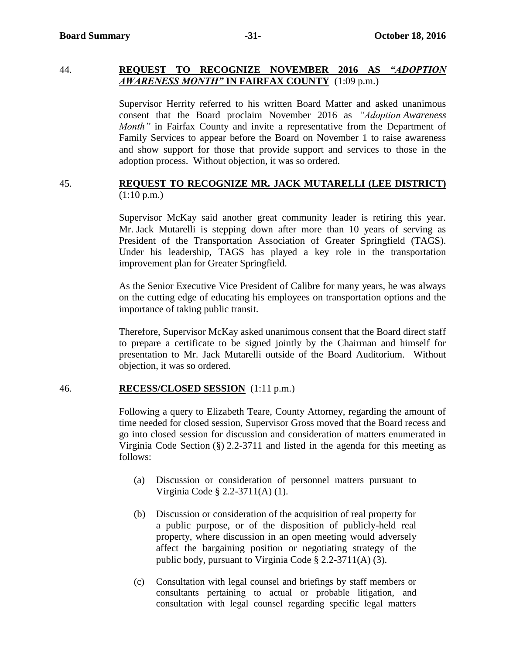# 44. **REQUEST TO RECOGNIZE NOVEMBER 2016 AS** *"ADOPTION AWARENESS MONTH"* **IN FAIRFAX COUNTY** (1:09 p.m.)

Supervisor Herrity referred to his written Board Matter and asked unanimous consent that the Board proclaim November 2016 as *"Adoption Awareness Month"* in Fairfax County and invite a representative from the Department of Family Services to appear before the Board on November 1 to raise awareness and show support for those that provide support and services to those in the adoption process. Without objection, it was so ordered.

#### 45. **REQUEST TO RECOGNIZE MR. JACK MUTARELLI (LEE DISTRICT)**  $(1:10 \text{ p.m.})$

Supervisor McKay said another great community leader is retiring this year. Mr. Jack Mutarelli is stepping down after more than 10 years of serving as President of the Transportation Association of Greater Springfield (TAGS). Under his leadership, TAGS has played a key role in the transportation improvement plan for Greater Springfield.

As the Senior Executive Vice President of Calibre for many years, he was always on the cutting edge of educating his employees on transportation options and the importance of taking public transit.

Therefore, Supervisor McKay asked unanimous consent that the Board direct staff to prepare a certificate to be signed jointly by the Chairman and himself for presentation to Mr. Jack Mutarelli outside of the Board Auditorium. Without objection, it was so ordered.

#### 46. **RECESS/CLOSED SESSION** (1:11 p.m.)

Following a query to Elizabeth Teare, County Attorney, regarding the amount of time needed for closed session, Supervisor Gross moved that the Board recess and go into closed session for discussion and consideration of matters enumerated in Virginia Code Section (§) 2.2-3711 and listed in the agenda for this meeting as follows:

- (a) Discussion or consideration of personnel matters pursuant to Virginia Code § 2.2-3711(A) (1).
- (b) Discussion or consideration of the acquisition of real property for a public purpose, or of the disposition of publicly-held real property, where discussion in an open meeting would adversely affect the bargaining position or negotiating strategy of the public body, pursuant to Virginia Code § 2.2-3711(A) (3).
- (c) Consultation with legal counsel and briefings by staff members or consultants pertaining to actual or probable litigation, and consultation with legal counsel regarding specific legal matters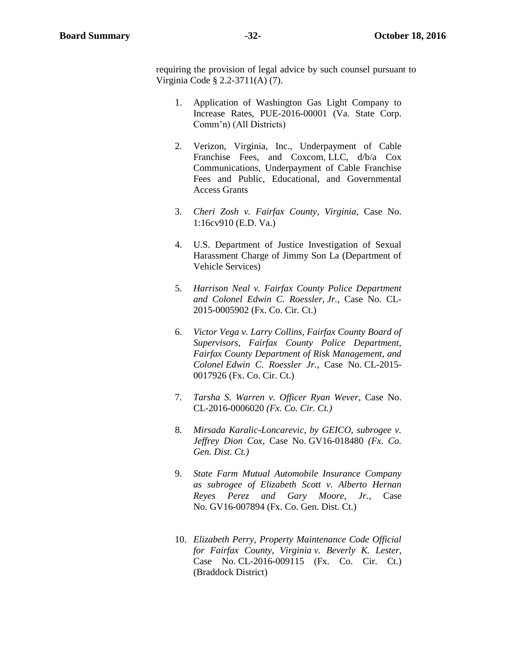requiring the provision of legal advice by such counsel pursuant to Virginia Code § 2.2-3711(A) (7).

- 1. Application of Washington Gas Light Company to Increase Rates, PUE-2016-00001 (Va. State Corp. Comm'n) (All Districts)
- 2. Verizon, Virginia, Inc., Underpayment of Cable Franchise Fees, and Coxcom, LLC, d/b/a Cox Communications, Underpayment of Cable Franchise Fees and Public, Educational, and Governmental Access Grants
- 3. *Cheri Zosh v. Fairfax County, Virginia*, Case No. 1:16cv910 (E.D. Va.)
- 4. U.S. Department of Justice Investigation of Sexual Harassment Charge of Jimmy Son La (Department of Vehicle Services)
- 5. *Harrison Neal v. Fairfax County Police Department and Colonel Edwin C. Roessler, Jr.*, Case No. CL-2015-0005902 (Fx. Co. Cir. Ct.)
- 6. *Victor Vega v. Larry Collins, Fairfax County Board of Supervisors, Fairfax County Police Department, Fairfax County Department of Risk Management, and Colonel Edwin C. Roessler Jr.*, Case No. CL-2015- 0017926 (Fx. Co. Cir. Ct.)
- 7. *Tarsha S. Warren v. Officer Ryan Wever*, Case No. CL-2016-0006020 *(Fx. Co. Cir. Ct.)*
- 8. *Mirsada Karalic-Loncarevic, by GEICO, subrogee v. Jeffrey Dion Cox*, Case No. GV16-018480 *(Fx. Co. Gen. Dist. Ct.)*
- 9. *State Farm Mutual Automobile Insurance Company as subrogee of Elizabeth Scott v. Alberto Hernan Reyes Perez and Gary Moore, Jr.*, Case No. GV16-007894 (Fx. Co. Gen. Dist. Ct.)
- 10. *Elizabeth Perry, Property Maintenance Code Official for Fairfax County, Virginia v. Beverly K. Lester*, Case No. CL-2016-009115 (Fx. Co. Cir. Ct.) (Braddock District)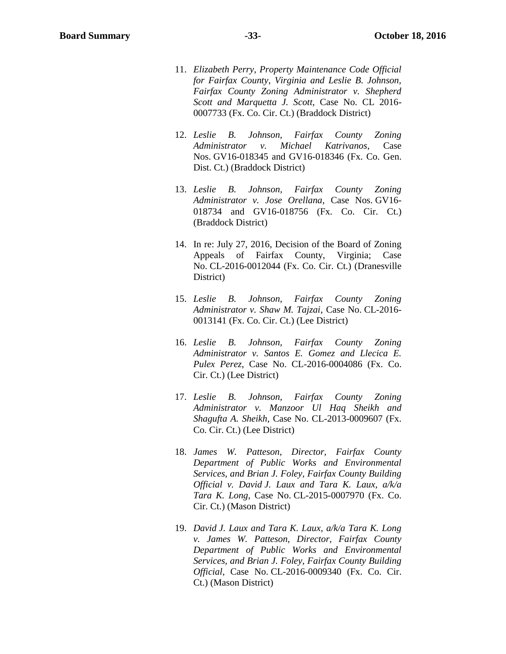- 11. *Elizabeth Perry, Property Maintenance Code Official for Fairfax County, Virginia and Leslie B. Johnson, Fairfax County Zoning Administrator v. Shepherd Scott and Marquetta J. Scott*, Case No. CL 2016- 0007733 (Fx. Co. Cir. Ct.) (Braddock District)
- 12. *Leslie B. Johnson, Fairfax County Zoning Administrator v. Michael Katrivanos*, Case Nos. GV16-018345 and GV16-018346 (Fx. Co. Gen. Dist. Ct.) (Braddock District)
- 13. *Leslie B. Johnson, Fairfax County Zoning Administrator v. Jose Orellana*, Case Nos. GV16- 018734 and GV16-018756 (Fx. Co. Cir. Ct.) (Braddock District)
- 14. In re: July 27, 2016, Decision of the Board of Zoning Appeals of Fairfax County, Virginia; Case No. CL-2016-0012044 (Fx. Co. Cir. Ct.) (Dranesville District)
- 15. *Leslie B. Johnson, Fairfax County Zoning Administrator v. Shaw M. Tajzai*, Case No. CL-2016- 0013141 (Fx. Co. Cir. Ct.) (Lee District)
- 16. *Leslie B. Johnson, Fairfax County Zoning Administrator v. Santos E. Gomez and Llecica E. Pulex Perez*, Case No. CL-2016-0004086 (Fx. Co. Cir. Ct.) (Lee District)
- 17. *Leslie B. Johnson, Fairfax County Zoning Administrator v. Manzoor Ul Haq Sheikh and Shagufta A. Sheikh*, Case No. CL-2013-0009607 (Fx. Co. Cir. Ct.) (Lee District)
- 18. *James W. Patteson, Director, Fairfax County Department of Public Works and Environmental Services, and Brian J. Foley, Fairfax County Building Official v. David J. Laux and Tara K. Laux, a/k/a Tara K. Long*, Case No. CL-2015-0007970 (Fx. Co. Cir. Ct.) (Mason District)
- 19. *David J. Laux and Tara K. Laux, a/k/a Tara K. Long v. James W. Patteson, Director, Fairfax County Department of Public Works and Environmental Services, and Brian J. Foley, Fairfax County Building Official*, Case No. CL-2016-0009340 (Fx. Co. Cir. Ct.) (Mason District)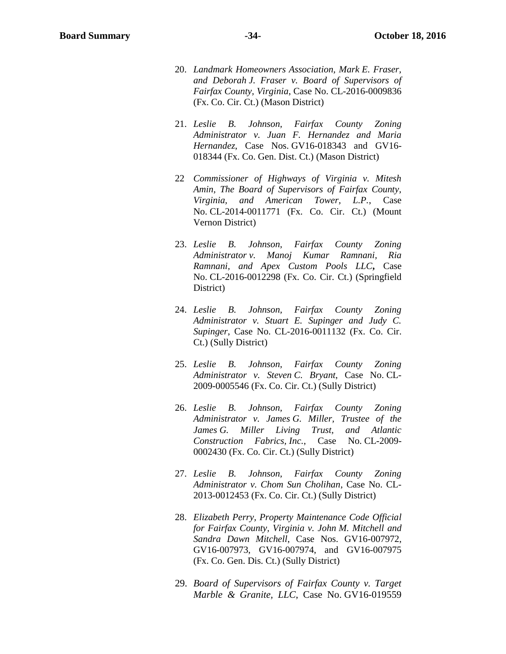- 20. *Landmark Homeowners Association, Mark E. Fraser, and Deborah J. Fraser v. Board of Supervisors of Fairfax County, Virginia*, Case No. CL-2016-0009836 (Fx. Co. Cir. Ct.) (Mason District)
- 21. *Leslie B. Johnson, Fairfax County Zoning Administrator v. Juan F. Hernandez and Maria Hernandez*, Case Nos. GV16-018343 and GV16- 018344 (Fx. Co. Gen. Dist. Ct.) (Mason District)
- 22 *Commissioner of Highways of Virginia v. Mitesh Amin, The Board of Supervisors of Fairfax County, Virginia, and American Tower, L.P.*, Case No. CL-2014-0011771 (Fx. Co. Cir. Ct.) (Mount Vernon District)
- 23. *Leslie B. Johnson, Fairfax County Zoning Administrator v. Manoj Kumar Ramnani, Ria Ramnani, and Apex Custom Pools LLC***,** Case No. CL-2016-0012298 (Fx. Co. Cir. Ct.) (Springfield District)
- 24. *Leslie B. Johnson, Fairfax County Zoning Administrator v. Stuart E. Supinger and Judy C. Supinger*, Case No. CL-2016-0011132 (Fx. Co. Cir. Ct.) (Sully District)
- 25. *Leslie B. Johnson, Fairfax County Zoning Administrator v. Steven C. Bryant*, Case No. CL-2009-0005546 (Fx. Co. Cir. Ct.) (Sully District)
- 26. *Leslie B. Johnson, Fairfax County Zoning Administrator v. James G. Miller, Trustee of the James G. Miller Living Trust, and Atlantic Construction Fabrics, Inc.*, Case No. CL-2009- 0002430 (Fx. Co. Cir. Ct.) (Sully District)
- 27. *Leslie B. Johnson, Fairfax County Zoning Administrator v. Chom Sun Cholihan*, Case No. CL-2013-0012453 (Fx. Co. Cir. Ct.) (Sully District)
- 28. *Elizabeth Perry, Property Maintenance Code Official for Fairfax County, Virginia v. John M. Mitchell and Sandra Dawn Mitchell*, Case Nos. GV16-007972, GV16-007973, GV16-007974, and GV16-007975 (Fx. Co. Gen. Dis. Ct.) (Sully District)
- 29. *Board of Supervisors of Fairfax County v. Target Marble & Granite, LLC*, Case No. GV16-019559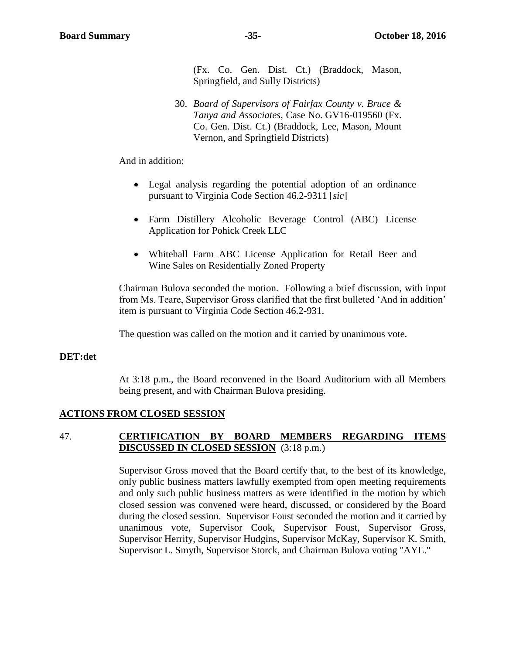(Fx. Co. Gen. Dist. Ct.) (Braddock, Mason, Springfield, and Sully Districts)

30. *Board of Supervisors of Fairfax County v. Bruce & Tanya and Associates*, Case No. GV16-019560 (Fx. Co. Gen. Dist. Ct.) (Braddock, Lee, Mason, Mount Vernon, and Springfield Districts)

And in addition:

- Legal analysis regarding the potential adoption of an ordinance pursuant to Virginia Code Section 46.2-9311 [*sic*]
- Farm Distillery Alcoholic Beverage Control (ABC) License Application for Pohick Creek LLC
- Whitehall Farm ABC License Application for Retail Beer and Wine Sales on Residentially Zoned Property

Chairman Bulova seconded the motion. Following a brief discussion, with input from Ms. Teare, Supervisor Gross clarified that the first bulleted 'And in addition' item is pursuant to Virginia Code Section 46.2-931.

The question was called on the motion and it carried by unanimous vote.

#### **DET:det**

At 3:18 p.m., the Board reconvened in the Board Auditorium with all Members being present, and with Chairman Bulova presiding.

#### **ACTIONS FROM CLOSED SESSION**

### 47. **CERTIFICATION BY BOARD MEMBERS REGARDING ITEMS DISCUSSED IN CLOSED SESSION** (3:18 p.m.)

Supervisor Gross moved that the Board certify that, to the best of its knowledge, only public business matters lawfully exempted from open meeting requirements and only such public business matters as were identified in the motion by which closed session was convened were heard, discussed, or considered by the Board during the closed session. Supervisor Foust seconded the motion and it carried by unanimous vote, Supervisor Cook, Supervisor Foust, Supervisor Gross, Supervisor Herrity, Supervisor Hudgins, Supervisor McKay, Supervisor K. Smith, Supervisor L. Smyth, Supervisor Storck, and Chairman Bulova voting "AYE."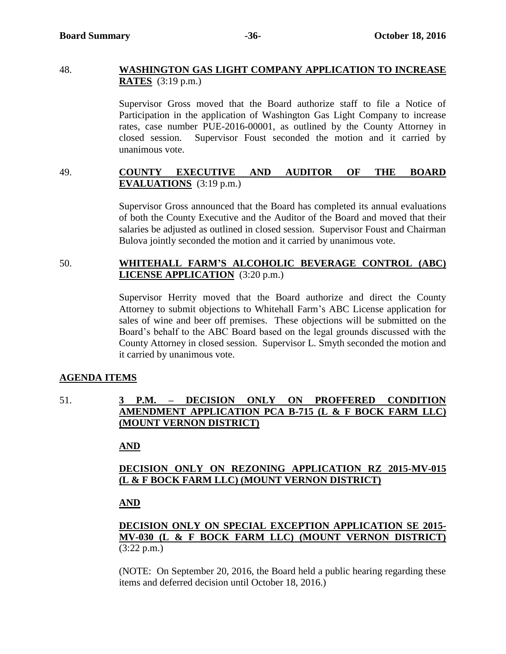#### 48. **WASHINGTON GAS LIGHT COMPANY APPLICATION TO INCREASE RATES** (3:19 p.m.)

Supervisor Gross moved that the Board authorize staff to file a Notice of Participation in the application of Washington Gas Light Company to increase rates, case number PUE-2016-00001, as outlined by the County Attorney in closed session. Supervisor Foust seconded the motion and it carried by unanimous vote.

# 49. **COUNTY EXECUTIVE AND AUDITOR OF THE BOARD EVALUATIONS** (3:19 p.m.)

Supervisor Gross announced that the Board has completed its annual evaluations of both the County Executive and the Auditor of the Board and moved that their salaries be adjusted as outlined in closed session. Supervisor Foust and Chairman Bulova jointly seconded the motion and it carried by unanimous vote.

# 50. **WHITEHALL FARM'S ALCOHOLIC BEVERAGE CONTROL (ABC) LICENSE APPLICATION** (3:20 p.m.)

Supervisor Herrity moved that the Board authorize and direct the County Attorney to submit objections to Whitehall Farm's ABC License application for sales of wine and beer off premises. These objections will be submitted on the Board's behalf to the ABC Board based on the legal grounds discussed with the County Attorney in closed session. Supervisor L. Smyth seconded the motion and it carried by unanimous vote.

# **AGENDA ITEMS**

51. **3 P.M. – DECISION ONLY ON PROFFERED CONDITION AMENDMENT APPLICATION PCA B-715 (L & F BOCK FARM LLC) (MOUNT VERNON DISTRICT)**

# **AND**

# **DECISION ONLY ON REZONING APPLICATION RZ 2015-MV-015 (L & F BOCK FARM LLC) (MOUNT VERNON DISTRICT)**

# **AND**

# **DECISION ONLY ON SPECIAL EXCEPTION APPLICATION SE 2015- MV-030 (L & F BOCK FARM LLC) (MOUNT VERNON DISTRICT)** (3:22 p.m.)

(NOTE: On September 20, 2016, the Board held a public hearing regarding these items and deferred decision until October 18, 2016.)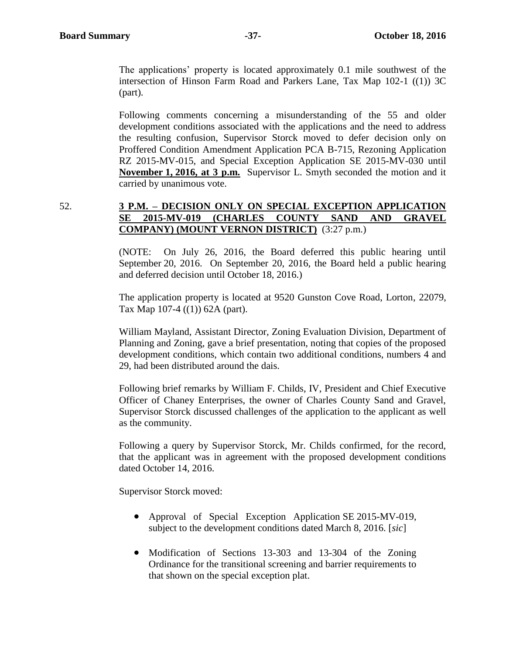The applications' property is located approximately 0.1 mile southwest of the intersection of Hinson Farm Road and Parkers Lane, Tax Map 102-1 ((1)) 3C (part).

Following comments concerning a misunderstanding of the 55 and older development conditions associated with the applications and the need to address the resulting confusion, Supervisor Storck moved to defer decision only on Proffered Condition Amendment Application PCA B-715, Rezoning Application RZ 2015-MV-015, and Special Exception Application SE 2015-MV-030 until **November 1, 2016, at 3 p.m.** Supervisor L. Smyth seconded the motion and it carried by unanimous vote.

# 52. **3 P.M. – DECISION ONLY ON SPECIAL EXCEPTION APPLICATION SE 2015-MV-019 (CHARLES COUNTY SAND AND GRAVEL COMPANY) (MOUNT VERNON DISTRICT)** (3:27 p.m.)

(NOTE: On July 26, 2016, the Board deferred this public hearing until September 20, 2016. On September 20, 2016, the Board held a public hearing and deferred decision until October 18, 2016.)

The application property is located at 9520 Gunston Cove Road, Lorton, 22079, Tax Map 107-4 ((1)) 62A (part).

William Mayland, Assistant Director, Zoning Evaluation Division, Department of Planning and Zoning, gave a brief presentation, noting that copies of the proposed development conditions, which contain two additional conditions, numbers 4 and 29, had been distributed around the dais.

Following brief remarks by William F. Childs, IV, President and Chief Executive Officer of Chaney Enterprises, the owner of Charles County Sand and Gravel, Supervisor Storck discussed challenges of the application to the applicant as well as the community.

Following a query by Supervisor Storck, Mr. Childs confirmed, for the record, that the applicant was in agreement with the proposed development conditions dated October 14, 2016.

Supervisor Storck moved:

- Approval of Special Exception Application SE 2015-MV-019, subject to the development conditions dated March 8, 2016. [*sic*]
- Modification of Sections 13-303 and 13-304 of the Zoning Ordinance for the transitional screening and barrier requirements to that shown on the special exception plat.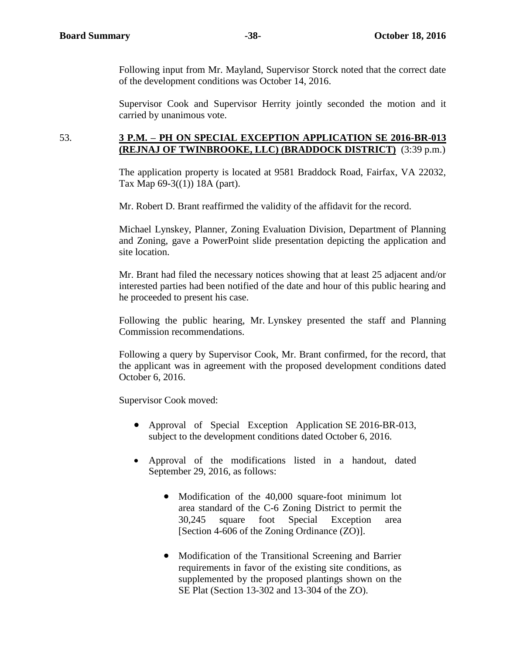Following input from Mr. Mayland, Supervisor Storck noted that the correct date of the development conditions was October 14, 2016.

Supervisor Cook and Supervisor Herrity jointly seconded the motion and it carried by unanimous vote.

#### 53. **3 P.M. – PH ON SPECIAL EXCEPTION APPLICATION SE 2016-BR-013 (REJNAJ OF TWINBROOKE, LLC) (BRADDOCK DISTRICT)** (3:39 p.m.)

The application property is located at 9581 Braddock Road, Fairfax, VA 22032, Tax Map 69-3((1)) 18A (part).

Mr. Robert D. Brant reaffirmed the validity of the affidavit for the record.

Michael Lynskey, Planner, Zoning Evaluation Division, Department of Planning and Zoning, gave a PowerPoint slide presentation depicting the application and site location.

Mr. Brant had filed the necessary notices showing that at least 25 adjacent and/or interested parties had been notified of the date and hour of this public hearing and he proceeded to present his case.

Following the public hearing, Mr. Lynskey presented the staff and Planning Commission recommendations.

Following a query by Supervisor Cook, Mr. Brant confirmed, for the record, that the applicant was in agreement with the proposed development conditions dated October 6, 2016.

Supervisor Cook moved:

- Approval of Special Exception Application SE 2016-BR-013, subject to the development conditions dated October 6, 2016.
- Approval of the modifications listed in a handout, dated September 29, 2016, as follows:
	- Modification of the 40,000 square-foot minimum lot area standard of the C-6 Zoning District to permit the 30,245 square foot Special Exception area [Section 4-606 of the Zoning Ordinance (ZO)].
	- Modification of the Transitional Screening and Barrier requirements in favor of the existing site conditions, as supplemented by the proposed plantings shown on the SE Plat (Section 13-302 and 13-304 of the ZO).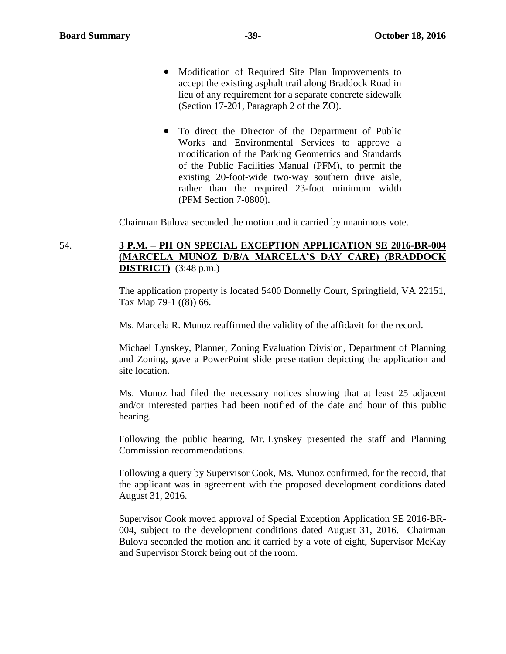- Modification of Required Site Plan Improvements to accept the existing asphalt trail along Braddock Road in lieu of any requirement for a separate concrete sidewalk (Section 17-201, Paragraph 2 of the ZO).
- To direct the Director of the Department of Public Works and Environmental Services to approve a modification of the Parking Geometrics and Standards of the Public Facilities Manual (PFM), to permit the existing 20-foot-wide two-way southern drive aisle, rather than the required 23-foot minimum width (PFM Section 7-0800).

Chairman Bulova seconded the motion and it carried by unanimous vote.

# 54. **3 P.M. – PH ON SPECIAL EXCEPTION APPLICATION SE 2016-BR-004 (MARCELA MUNOZ D/B/A MARCELA'S DAY CARE) (BRADDOCK DISTRICT)** (3:48 p.m.)

The application property is located 5400 Donnelly Court, Springfield, VA 22151, Tax Map 79-1 ((8)) 66.

Ms. Marcela R. Munoz reaffirmed the validity of the affidavit for the record.

Michael Lynskey, Planner, Zoning Evaluation Division, Department of Planning and Zoning, gave a PowerPoint slide presentation depicting the application and site location.

Ms. Munoz had filed the necessary notices showing that at least 25 adjacent and/or interested parties had been notified of the date and hour of this public hearing.

Following the public hearing, Mr. Lynskey presented the staff and Planning Commission recommendations.

Following a query by Supervisor Cook, Ms. Munoz confirmed, for the record, that the applicant was in agreement with the proposed development conditions dated August 31, 2016.

Supervisor Cook moved approval of Special Exception Application SE 2016-BR-004, subject to the development conditions dated August 31, 2016. Chairman Bulova seconded the motion and it carried by a vote of eight, Supervisor McKay and Supervisor Storck being out of the room.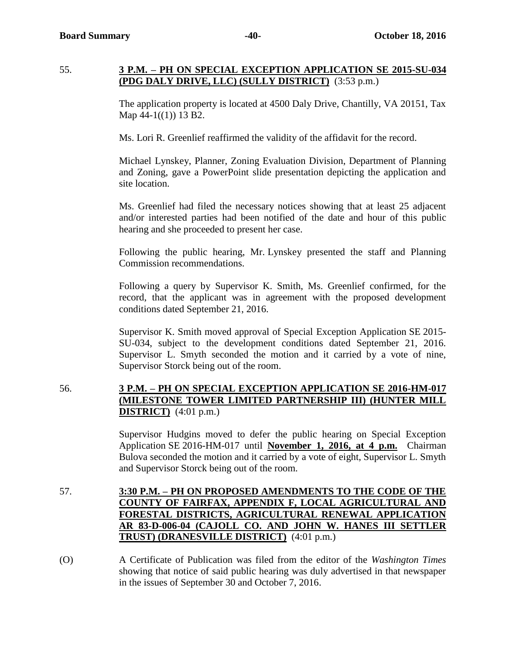#### 55. **3 P.M. – PH ON SPECIAL EXCEPTION APPLICATION SE 2015-SU-034 (PDG DALY DRIVE, LLC) (SULLY DISTRICT)** (3:53 p.m.)

The application property is located at 4500 Daly Drive, Chantilly, VA 20151, Tax Map  $44-1(1)$  13 B2.

Ms. Lori R. Greenlief reaffirmed the validity of the affidavit for the record.

Michael Lynskey, Planner, Zoning Evaluation Division, Department of Planning and Zoning, gave a PowerPoint slide presentation depicting the application and site location.

Ms. Greenlief had filed the necessary notices showing that at least 25 adjacent and/or interested parties had been notified of the date and hour of this public hearing and she proceeded to present her case.

Following the public hearing, Mr. Lynskey presented the staff and Planning Commission recommendations.

Following a query by Supervisor K. Smith, Ms. Greenlief confirmed, for the record, that the applicant was in agreement with the proposed development conditions dated September 21, 2016.

Supervisor K. Smith moved approval of Special Exception Application SE 2015- SU-034, subject to the development conditions dated September 21, 2016. Supervisor L. Smyth seconded the motion and it carried by a vote of nine, Supervisor Storck being out of the room.

# 56. **3 P.M. – PH ON SPECIAL EXCEPTION APPLICATION SE 2016-HM-017 (MILESTONE TOWER LIMITED PARTNERSHIP III) (HUNTER MILL DISTRICT)** (4:01 p.m.)

Supervisor Hudgins moved to defer the public hearing on Special Exception Application SE 2016-HM-017 until **November 1, 2016, at 4 p.m.** Chairman Bulova seconded the motion and it carried by a vote of eight, Supervisor L. Smyth and Supervisor Storck being out of the room.

- 57. **3:30 P.M. – PH ON PROPOSED AMENDMENTS TO THE CODE OF THE COUNTY OF FAIRFAX, APPENDIX F, LOCAL AGRICULTURAL AND FORESTAL DISTRICTS, AGRICULTURAL RENEWAL APPLICATION AR 83-D-006-04 (CAJOLL CO. AND JOHN W. HANES III SETTLER TRUST) (DRANESVILLE DISTRICT)** (4:01 p.m.)
- (O) A Certificate of Publication was filed from the editor of the *Washington Times*  showing that notice of said public hearing was duly advertised in that newspaper in the issues of September 30 and October 7, 2016.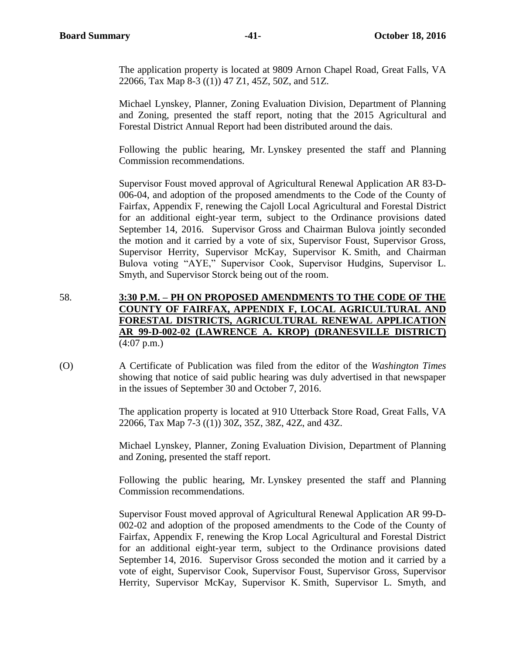The application property is located at 9809 Arnon Chapel Road, Great Falls, VA 22066, Tax Map 8-3 ((1)) 47 Z1, 45Z, 50Z, and 51Z.

Michael Lynskey, Planner, Zoning Evaluation Division, Department of Planning and Zoning, presented the staff report, noting that the 2015 Agricultural and Forestal District Annual Report had been distributed around the dais.

Following the public hearing, Mr. Lynskey presented the staff and Planning Commission recommendations.

Supervisor Foust moved approval of Agricultural Renewal Application AR 83-D-006-04, and adoption of the proposed amendments to the Code of the County of Fairfax, Appendix F, renewing the Cajoll Local Agricultural and Forestal District for an additional eight-year term, subject to the Ordinance provisions dated September 14, 2016. Supervisor Gross and Chairman Bulova jointly seconded the motion and it carried by a vote of six, Supervisor Foust, Supervisor Gross, Supervisor Herrity, Supervisor McKay, Supervisor K. Smith, and Chairman Bulova voting "AYE," Supervisor Cook, Supervisor Hudgins, Supervisor L. Smyth, and Supervisor Storck being out of the room.

- 58. **3:30 P.M. – PH ON PROPOSED AMENDMENTS TO THE CODE OF THE COUNTY OF FAIRFAX, APPENDIX F, LOCAL AGRICULTURAL AND FORESTAL DISTRICTS, AGRICULTURAL RENEWAL APPLICATION AR 99-D-002-02 (LAWRENCE A. KROP) (DRANESVILLE DISTRICT)**  $(4:07 \text{ p.m.})$
- (O) A Certificate of Publication was filed from the editor of the *Washington Times*  showing that notice of said public hearing was duly advertised in that newspaper in the issues of September 30 and October 7, 2016.

The application property is located at 910 Utterback Store Road, Great Falls, VA 22066, Tax Map 7-3 ((1)) 30Z, 35Z, 38Z, 42Z, and 43Z.

Michael Lynskey, Planner, Zoning Evaluation Division, Department of Planning and Zoning, presented the staff report.

Following the public hearing, Mr. Lynskey presented the staff and Planning Commission recommendations.

Supervisor Foust moved approval of Agricultural Renewal Application AR 99-D-002-02 and adoption of the proposed amendments to the Code of the County of Fairfax, Appendix F, renewing the Krop Local Agricultural and Forestal District for an additional eight-year term, subject to the Ordinance provisions dated September 14, 2016. Supervisor Gross seconded the motion and it carried by a vote of eight, Supervisor Cook, Supervisor Foust, Supervisor Gross, Supervisor Herrity, Supervisor McKay, Supervisor K. Smith, Supervisor L. Smyth, and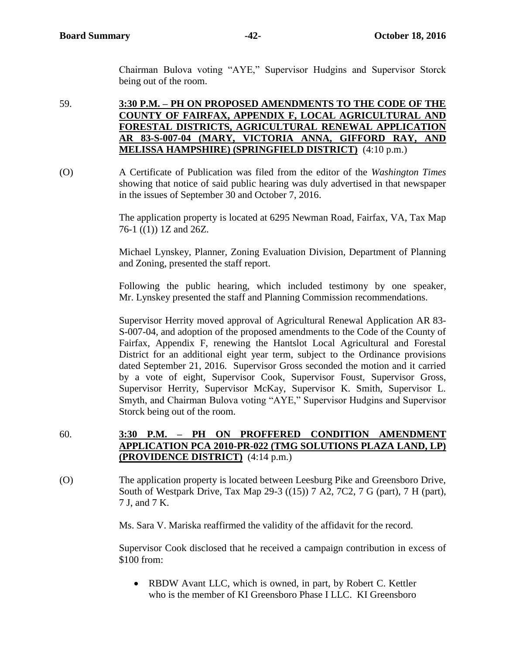Chairman Bulova voting "AYE," Supervisor Hudgins and Supervisor Storck being out of the room.

59. **3:30 P.M. – PH ON PROPOSED AMENDMENTS TO THE CODE OF THE COUNTY OF FAIRFAX, APPENDIX F, LOCAL AGRICULTURAL AND FORESTAL DISTRICTS, AGRICULTURAL RENEWAL APPLICATION AR 83-S-007-04 (MARY, VICTORIA ANNA, GIFFORD RAY, AND MELISSA HAMPSHIRE) (SPRINGFIELD DISTRICT)** (4:10 p.m.)

(O) A Certificate of Publication was filed from the editor of the *Washington Times*  showing that notice of said public hearing was duly advertised in that newspaper in the issues of September 30 and October 7, 2016.

> The application property is located at 6295 Newman Road, Fairfax, VA, Tax Map 76-1 ((1)) 1Z and 26Z.

> Michael Lynskey, Planner, Zoning Evaluation Division, Department of Planning and Zoning, presented the staff report.

> Following the public hearing, which included testimony by one speaker, Mr. Lynskey presented the staff and Planning Commission recommendations.

> Supervisor Herrity moved approval of Agricultural Renewal Application AR 83- S-007-04, and adoption of the proposed amendments to the Code of the County of Fairfax, Appendix F, renewing the Hantslot Local Agricultural and Forestal District for an additional eight year term, subject to the Ordinance provisions dated September 21, 2016. Supervisor Gross seconded the motion and it carried by a vote of eight, Supervisor Cook, Supervisor Foust, Supervisor Gross, Supervisor Herrity, Supervisor McKay, Supervisor K. Smith, Supervisor L. Smyth, and Chairman Bulova voting "AYE," Supervisor Hudgins and Supervisor Storck being out of the room.

- 60. **3:30 P.M. – PH ON PROFFERED CONDITION AMENDMENT APPLICATION PCA 2010-PR-022 (TMG SOLUTIONS PLAZA LAND, LP) (PROVIDENCE DISTRICT)** (4:14 p.m.)
- (O) The application property is located between Leesburg Pike and Greensboro Drive, South of Westpark Drive, Tax Map 29-3 ((15)) 7 A2, 7C2, 7 G (part), 7 H (part), 7 J, and 7 K.

Ms. Sara V. Mariska reaffirmed the validity of the affidavit for the record.

Supervisor Cook disclosed that he received a campaign contribution in excess of \$100 from:

• RBDW Avant LLC, which is owned, in part, by Robert C. Kettler who is the member of KI Greensboro Phase I LLC. KI Greensboro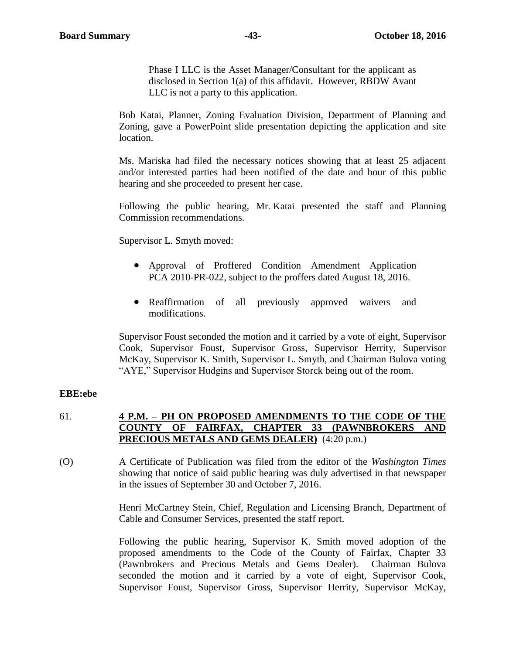Phase I LLC is the Asset Manager/Consultant for the applicant as disclosed in Section 1(a) of this affidavit. However, RBDW Avant LLC is not a party to this application.

Bob Katai, Planner, Zoning Evaluation Division, Department of Planning and Zoning, gave a PowerPoint slide presentation depicting the application and site location.

Ms. Mariska had filed the necessary notices showing that at least 25 adjacent and/or interested parties had been notified of the date and hour of this public hearing and she proceeded to present her case.

Following the public hearing, Mr. Katai presented the staff and Planning Commission recommendations.

Supervisor L. Smyth moved:

- Approval of Proffered Condition Amendment Application PCA 2010-PR-022, subject to the proffers dated August 18, 2016.
- Reaffirmation of all previously approved waivers and modifications.

Supervisor Foust seconded the motion and it carried by a vote of eight, Supervisor Cook, Supervisor Foust, Supervisor Gross, Supervisor Herrity, Supervisor McKay, Supervisor K. Smith, Supervisor L. Smyth, and Chairman Bulova voting "AYE," Supervisor Hudgins and Supervisor Storck being out of the room.

#### **EBE:ebe**

# 61. **4 P.M. – PH ON PROPOSED AMENDMENTS TO THE CODE OF THE COUNTY OF FAIRFAX, CHAPTER 33 (PAWNBROKERS AND PRECIOUS METALS AND GEMS DEALER)** (4:20 p.m.)

(O) A Certificate of Publication was filed from the editor of the *Washington Times*  showing that notice of said public hearing was duly advertised in that newspaper in the issues of September 30 and October 7, 2016.

> Henri McCartney Stein, Chief, Regulation and Licensing Branch, Department of Cable and Consumer Services, presented the staff report.

> Following the public hearing, Supervisor K. Smith moved adoption of the proposed amendments to the Code of the County of Fairfax, Chapter 33 (Pawnbrokers and Precious Metals and Gems Dealer). Chairman Bulova seconded the motion and it carried by a vote of eight, Supervisor Cook, Supervisor Foust, Supervisor Gross, Supervisor Herrity, Supervisor McKay,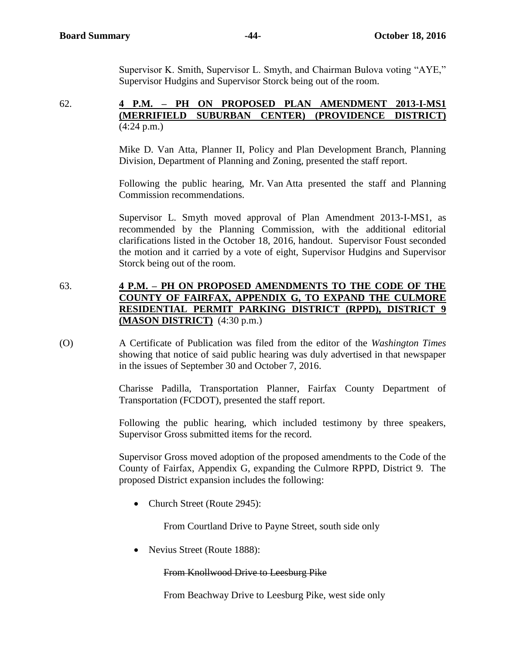Supervisor K. Smith, Supervisor L. Smyth, and Chairman Bulova voting "AYE," Supervisor Hudgins and Supervisor Storck being out of the room.

#### 62. **4 P.M. – PH ON PROPOSED PLAN AMENDMENT 2013-I-MS1 (MERRIFIELD SUBURBAN CENTER) (PROVIDENCE DISTRICT)** (4:24 p.m.)

Mike D. Van Atta, Planner II, Policy and Plan Development Branch, Planning Division, Department of Planning and Zoning, presented the staff report.

Following the public hearing, Mr. Van Atta presented the staff and Planning Commission recommendations.

Supervisor L. Smyth moved approval of Plan Amendment 2013-I-MS1, as recommended by the Planning Commission, with the additional editorial clarifications listed in the October 18, 2016, handout. Supervisor Foust seconded the motion and it carried by a vote of eight, Supervisor Hudgins and Supervisor Storck being out of the room.

# 63. **4 P.M. – PH ON PROPOSED AMENDMENTS TO THE CODE OF THE COUNTY OF FAIRFAX, APPENDIX G, TO EXPAND THE CULMORE RESIDENTIAL PERMIT PARKING DISTRICT (RPPD), DISTRICT 9 (MASON DISTRICT)** (4:30 p.m.)

(O) A Certificate of Publication was filed from the editor of the *Washington Times*  showing that notice of said public hearing was duly advertised in that newspaper in the issues of September 30 and October 7, 2016.

> Charisse Padilla, Transportation Planner, Fairfax County Department of Transportation (FCDOT), presented the staff report.

> Following the public hearing, which included testimony by three speakers, Supervisor Gross submitted items for the record.

> Supervisor Gross moved adoption of the proposed amendments to the Code of the County of Fairfax, Appendix G, expanding the Culmore RPPD, District 9. The proposed District expansion includes the following:

• Church Street (Route 2945):

From Courtland Drive to Payne Street, south side only

• Nevius Street (Route 1888):

From Knollwood Drive to Leesburg Pike

From Beachway Drive to Leesburg Pike, west side only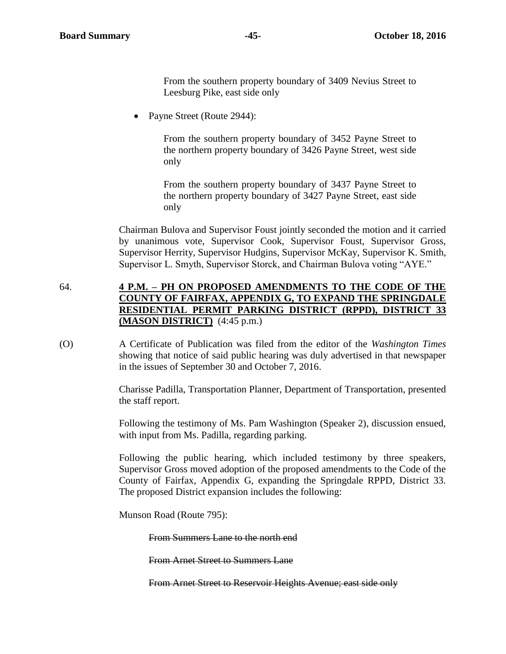From the southern property boundary of 3409 Nevius Street to Leesburg Pike, east side only

• Payne Street (Route 2944):

From the southern property boundary of 3452 Payne Street to the northern property boundary of 3426 Payne Street, west side only

From the southern property boundary of 3437 Payne Street to the northern property boundary of 3427 Payne Street, east side only

Chairman Bulova and Supervisor Foust jointly seconded the motion and it carried by unanimous vote, Supervisor Cook, Supervisor Foust, Supervisor Gross, Supervisor Herrity, Supervisor Hudgins, Supervisor McKay, Supervisor K. Smith, Supervisor L. Smyth, Supervisor Storck, and Chairman Bulova voting "AYE."

# 64. **4 P.M. – PH ON PROPOSED AMENDMENTS TO THE CODE OF THE COUNTY OF FAIRFAX, APPENDIX G, TO EXPAND THE SPRINGDALE RESIDENTIAL PERMIT PARKING DISTRICT (RPPD), DISTRICT 33 (MASON DISTRICT)** (4:45 p.m.)

(O) A Certificate of Publication was filed from the editor of the *Washington Times*  showing that notice of said public hearing was duly advertised in that newspaper in the issues of September 30 and October 7, 2016.

> Charisse Padilla, Transportation Planner, Department of Transportation, presented the staff report.

> Following the testimony of Ms. Pam Washington (Speaker 2), discussion ensued, with input from Ms. Padilla, regarding parking.

> Following the public hearing, which included testimony by three speakers, Supervisor Gross moved adoption of the proposed amendments to the Code of the County of Fairfax, Appendix G, expanding the Springdale RPPD, District 33. The proposed District expansion includes the following:

Munson Road (Route 795):

From Summers Lane to the north end

From Arnet Street to Summers Lane

From Arnet Street to Reservoir Heights Avenue; east side only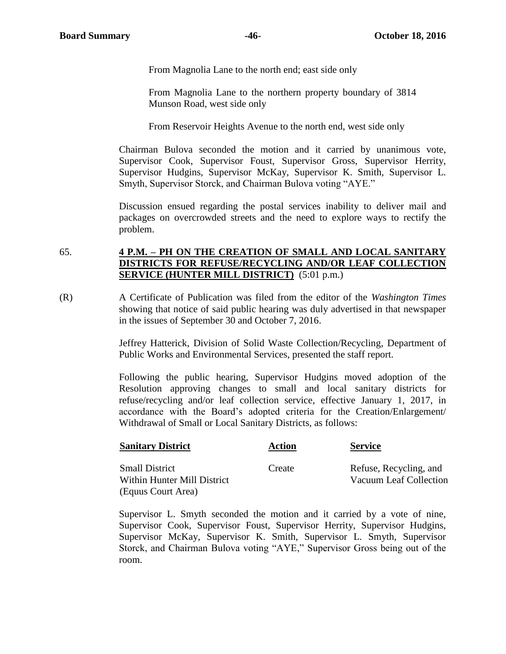From Magnolia Lane to the north end; east side only

From Magnolia Lane to the northern property boundary of 3814 Munson Road, west side only

From Reservoir Heights Avenue to the north end, west side only

Chairman Bulova seconded the motion and it carried by unanimous vote, Supervisor Cook, Supervisor Foust, Supervisor Gross, Supervisor Herrity, Supervisor Hudgins, Supervisor McKay, Supervisor K. Smith, Supervisor L. Smyth, Supervisor Storck, and Chairman Bulova voting "AYE."

Discussion ensued regarding the postal services inability to deliver mail and packages on overcrowded streets and the need to explore ways to rectify the problem.

# 65. **4 P.M. – PH ON THE CREATION OF SMALL AND LOCAL SANITARY DISTRICTS FOR REFUSE/RECYCLING AND/OR LEAF COLLECTION SERVICE (HUNTER MILL DISTRICT)** (5:01 p.m.)

(R) A Certificate of Publication was filed from the editor of the *Washington Times*  showing that notice of said public hearing was duly advertised in that newspaper in the issues of September 30 and October 7, 2016.

> Jeffrey Hatterick, Division of Solid Waste Collection/Recycling, Department of Public Works and Environmental Services, presented the staff report.

> Following the public hearing, Supervisor Hudgins moved adoption of the Resolution approving changes to small and local sanitary districts for refuse/recycling and/or leaf collection service, effective January 1, 2017, in accordance with the Board's adopted criteria for the Creation/Enlargement/ Withdrawal of Small or Local Sanitary Districts, as follows:

| <b>Sanitary District</b>                             | Action | <b>Service</b>                                   |
|------------------------------------------------------|--------|--------------------------------------------------|
| <b>Small District</b><br>Within Hunter Mill District | Create | Refuse, Recycling, and<br>Vacuum Leaf Collection |
| (Equus Court Area)                                   |        |                                                  |

Supervisor L. Smyth seconded the motion and it carried by a vote of nine, Supervisor Cook, Supervisor Foust, Supervisor Herrity, Supervisor Hudgins, Supervisor McKay, Supervisor K. Smith, Supervisor L. Smyth, Supervisor Storck, and Chairman Bulova voting "AYE," Supervisor Gross being out of the room.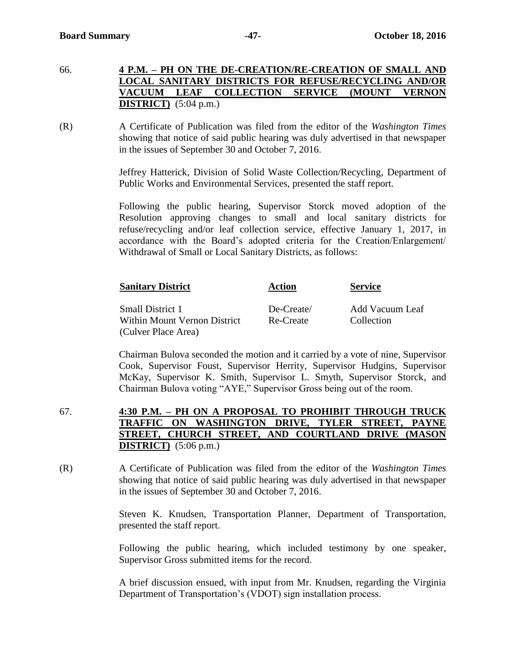- 66. **4 P.M. – PH ON THE DE-CREATION/RE-CREATION OF SMALL AND LOCAL SANITARY DISTRICTS FOR REFUSE/RECYCLING AND/OR VACUUM LEAF COLLECTION SERVICE (MOUNT VERNON DISTRICT)** (5:04 p.m.)
- (R) A Certificate of Publication was filed from the editor of the *Washington Times*  showing that notice of said public hearing was duly advertised in that newspaper in the issues of September 30 and October 7, 2016.

Jeffrey Hatterick, Division of Solid Waste Collection/Recycling, Department of Public Works and Environmental Services, presented the staff report.

Following the public hearing, Supervisor Storck moved adoption of the Resolution approving changes to small and local sanitary districts for refuse/recycling and/or leaf collection service, effective January 1, 2017, in accordance with the Board's adopted criteria for the Creation/Enlargement/ Withdrawal of Small or Local Sanitary Districts, as follows:

| <b>Sanitary District</b>                                | <b>Action</b>           | <b>Service</b>                |
|---------------------------------------------------------|-------------------------|-------------------------------|
| <b>Small District 1</b><br>Within Mount Vernon District | De-Create/<br>Re-Create | Add Vacuum Leaf<br>Collection |
| (Culver Place Area)                                     |                         |                               |

Chairman Bulova seconded the motion and it carried by a vote of nine, Supervisor Cook, Supervisor Foust, Supervisor Herrity, Supervisor Hudgins, Supervisor McKay, Supervisor K. Smith, Supervisor L. Smyth, Supervisor Storck, and Chairman Bulova voting "AYE," Supervisor Gross being out of the room.

- 67. **4:30 P.M. – PH ON A PROPOSAL TO PROHIBIT THROUGH TRUCK TRAFFIC ON WASHINGTON DRIVE, TYLER STREET, PAYNE STREET, CHURCH STREET, AND COURTLAND DRIVE (MASON DISTRICT)** (5:06 p.m.)
- (R) A Certificate of Publication was filed from the editor of the *Washington Times*  showing that notice of said public hearing was duly advertised in that newspaper in the issues of September 30 and October 7, 2016.

Steven K. Knudsen, Transportation Planner, Department of Transportation, presented the staff report.

Following the public hearing, which included testimony by one speaker, Supervisor Gross submitted items for the record.

A brief discussion ensued, with input from Mr. Knudsen, regarding the Virginia Department of Transportation's (VDOT) sign installation process.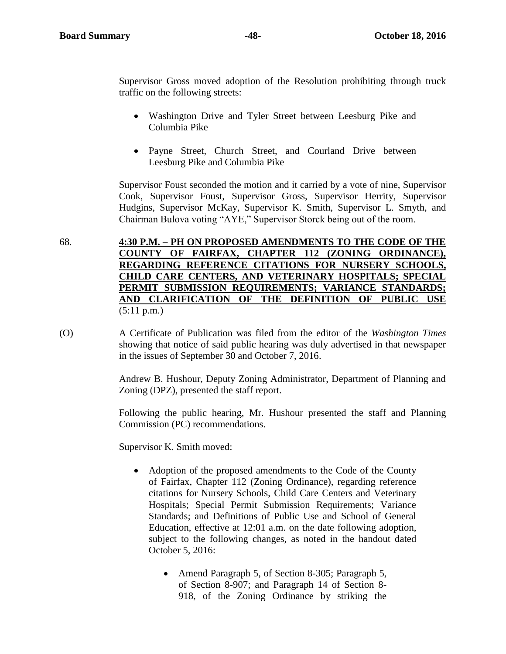Supervisor Gross moved adoption of the Resolution prohibiting through truck traffic on the following streets:

- Washington Drive and Tyler Street between Leesburg Pike and Columbia Pike
- Payne Street, Church Street, and Courland Drive between Leesburg Pike and Columbia Pike

Supervisor Foust seconded the motion and it carried by a vote of nine, Supervisor Cook, Supervisor Foust, Supervisor Gross, Supervisor Herrity, Supervisor Hudgins, Supervisor McKay, Supervisor K. Smith, Supervisor L. Smyth, and Chairman Bulova voting "AYE," Supervisor Storck being out of the room.

68. **4:30 P.M. – PH ON PROPOSED AMENDMENTS TO THE CODE OF THE COUNTY OF FAIRFAX, CHAPTER 112 (ZONING ORDINANCE), REGARDING REFERENCE CITATIONS FOR NURSERY SCHOOLS, CHILD CARE CENTERS, AND VETERINARY HOSPITALS; SPECIAL PERMIT SUBMISSION REQUIREMENTS; VARIANCE STANDARDS; AND CLARIFICATION OF THE DEFINITION OF PUBLIC USE**  $(5:11 \text{ p.m.})$ 

(O) A Certificate of Publication was filed from the editor of the *Washington Times*  showing that notice of said public hearing was duly advertised in that newspaper in the issues of September 30 and October 7, 2016.

> Andrew B. Hushour, Deputy Zoning Administrator, Department of Planning and Zoning (DPZ), presented the staff report.

> Following the public hearing, Mr. Hushour presented the staff and Planning Commission (PC) recommendations.

Supervisor K. Smith moved:

- Adoption of the proposed amendments to the Code of the County of Fairfax, Chapter 112 (Zoning Ordinance), regarding reference citations for Nursery Schools, Child Care Centers and Veterinary Hospitals; Special Permit Submission Requirements; Variance Standards; and Definitions of Public Use and School of General Education, effective at 12:01 a.m. on the date following adoption, subject to the following changes, as noted in the handout dated October 5, 2016:
	- Amend Paragraph 5, of Section 8-305; Paragraph 5, of Section 8-907; and Paragraph 14 of Section 8- 918, of the Zoning Ordinance by striking the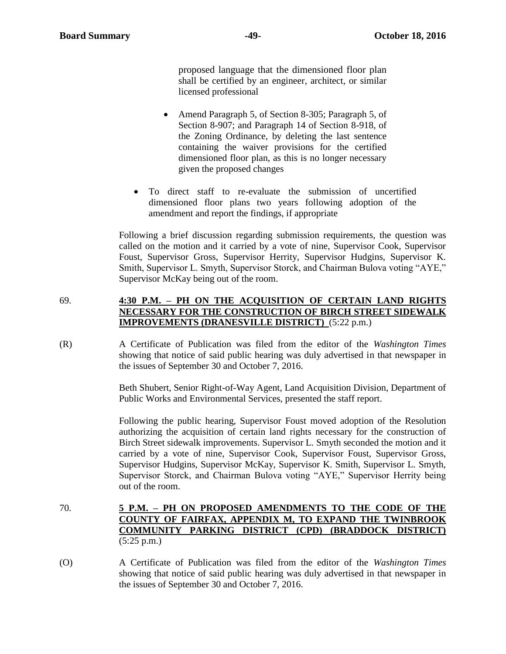proposed language that the dimensioned floor plan shall be certified by an engineer, architect, or similar licensed professional

- Amend Paragraph 5, of Section 8-305; Paragraph 5, of Section 8-907; and Paragraph 14 of Section 8-918, of the Zoning Ordinance, by deleting the last sentence containing the waiver provisions for the certified dimensioned floor plan, as this is no longer necessary given the proposed changes
- To direct staff to re-evaluate the submission of uncertified dimensioned floor plans two years following adoption of the amendment and report the findings, if appropriate

Following a brief discussion regarding submission requirements, the question was called on the motion and it carried by a vote of nine, Supervisor Cook, Supervisor Foust, Supervisor Gross, Supervisor Herrity, Supervisor Hudgins, Supervisor K. Smith, Supervisor L. Smyth, Supervisor Storck, and Chairman Bulova voting "AYE," Supervisor McKay being out of the room.

### 69. **4:30 P.M. – PH ON THE ACQUISITION OF CERTAIN LAND RIGHTS NECESSARY FOR THE CONSTRUCTION OF BIRCH STREET SIDEWALK IMPROVEMENTS (DRANESVILLE DISTRICT)** (5:22 p.m.)

(R) A Certificate of Publication was filed from the editor of the *Washington Times*  showing that notice of said public hearing was duly advertised in that newspaper in the issues of September 30 and October 7, 2016.

> Beth Shubert, Senior Right-of-Way Agent, Land Acquisition Division, Department of Public Works and Environmental Services, presented the staff report.

> Following the public hearing, Supervisor Foust moved adoption of the Resolution authorizing the acquisition of certain land rights necessary for the construction of Birch Street sidewalk improvements. Supervisor L. Smyth seconded the motion and it carried by a vote of nine, Supervisor Cook, Supervisor Foust, Supervisor Gross, Supervisor Hudgins, Supervisor McKay, Supervisor K. Smith, Supervisor L. Smyth, Supervisor Storck, and Chairman Bulova voting "AYE," Supervisor Herrity being out of the room.

- 70. **5 P.M. – PH ON PROPOSED AMENDMENTS TO THE CODE OF THE COUNTY OF FAIRFAX, APPENDIX M, TO EXPAND THE TWINBROOK COMMUNITY PARKING DISTRICT (CPD) (BRADDOCK DISTRICT)** (5:25 p.m.)
- (O) A Certificate of Publication was filed from the editor of the *Washington Times*  showing that notice of said public hearing was duly advertised in that newspaper in the issues of September 30 and October 7, 2016.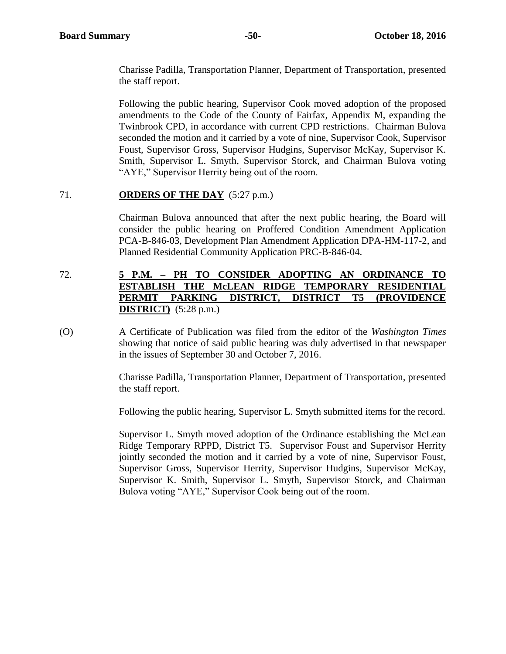Charisse Padilla, Transportation Planner, Department of Transportation, presented the staff report.

Following the public hearing, Supervisor Cook moved adoption of the proposed amendments to the Code of the County of Fairfax, Appendix M, expanding the Twinbrook CPD, in accordance with current CPD restrictions. Chairman Bulova seconded the motion and it carried by a vote of nine, Supervisor Cook, Supervisor Foust, Supervisor Gross, Supervisor Hudgins, Supervisor McKay, Supervisor K. Smith, Supervisor L. Smyth, Supervisor Storck, and Chairman Bulova voting "AYE," Supervisor Herrity being out of the room.

# 71. **ORDERS OF THE DAY** (5:27 p.m.)

Chairman Bulova announced that after the next public hearing, the Board will consider the public hearing on Proffered Condition Amendment Application PCA-B-846-03, Development Plan Amendment Application DPA-HM-117-2, and Planned Residential Community Application PRC-B-846-04.

# 72. **5 P.M. – PH TO CONSIDER ADOPTING AN ORDINANCE TO ESTABLISH THE McLEAN RIDGE TEMPORARY RESIDENTIAL PERMIT PARKING DISTRICT, DISTRICT T5 (PROVIDENCE DISTRICT)** (5:28 p.m.)

(O) A Certificate of Publication was filed from the editor of the *Washington Times*  showing that notice of said public hearing was duly advertised in that newspaper in the issues of September 30 and October 7, 2016.

> Charisse Padilla, Transportation Planner, Department of Transportation, presented the staff report.

> Following the public hearing, Supervisor L. Smyth submitted items for the record.

Supervisor L. Smyth moved adoption of the Ordinance establishing the McLean Ridge Temporary RPPD, District T5. Supervisor Foust and Supervisor Herrity jointly seconded the motion and it carried by a vote of nine, Supervisor Foust, Supervisor Gross, Supervisor Herrity, Supervisor Hudgins, Supervisor McKay, Supervisor K. Smith, Supervisor L. Smyth, Supervisor Storck, and Chairman Bulova voting "AYE," Supervisor Cook being out of the room.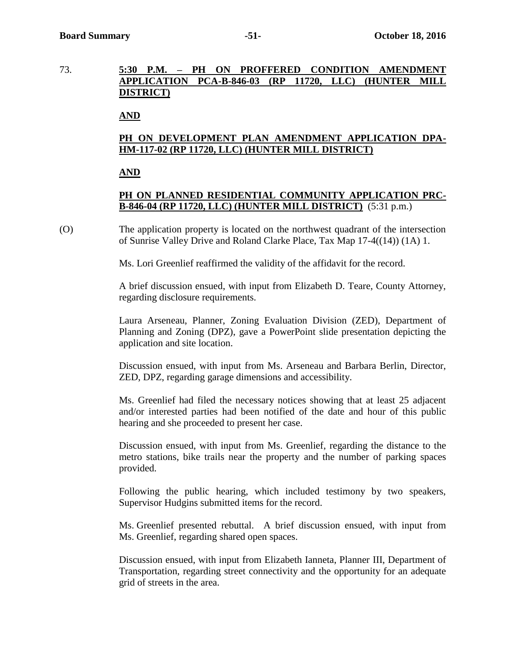# 73. **5:30 P.M. – PH ON PROFFERED CONDITION AMENDMENT APPLICATION PCA-B-846-03 (RP 11720, LLC) (HUNTER MILL DISTRICT)**

#### **AND**

# **PH ON DEVELOPMENT PLAN AMENDMENT APPLICATION DPA-HM-117-02 (RP 11720, LLC) (HUNTER MILL DISTRICT)**

#### **AND**

# **PH ON PLANNED RESIDENTIAL COMMUNITY APPLICATION PRC-B-846-04 (RP 11720, LLC) (HUNTER MILL DISTRICT)** (5:31 p.m.)

(O) The application property is located on the northwest quadrant of the intersection of Sunrise Valley Drive and Roland Clarke Place, Tax Map 17-4((14)) (1A) 1.

Ms. Lori Greenlief reaffirmed the validity of the affidavit for the record.

A brief discussion ensued, with input from Elizabeth D. Teare, County Attorney, regarding disclosure requirements.

Laura Arseneau, Planner, Zoning Evaluation Division (ZED), Department of Planning and Zoning (DPZ), gave a PowerPoint slide presentation depicting the application and site location.

Discussion ensued, with input from Ms. Arseneau and Barbara Berlin, Director, ZED, DPZ, regarding garage dimensions and accessibility.

Ms. Greenlief had filed the necessary notices showing that at least 25 adjacent and/or interested parties had been notified of the date and hour of this public hearing and she proceeded to present her case.

Discussion ensued, with input from Ms. Greenlief, regarding the distance to the metro stations, bike trails near the property and the number of parking spaces provided.

Following the public hearing, which included testimony by two speakers, Supervisor Hudgins submitted items for the record.

Ms. Greenlief presented rebuttal. A brief discussion ensued, with input from Ms. Greenlief, regarding shared open spaces.

Discussion ensued, with input from Elizabeth Ianneta, Planner III, Department of Transportation, regarding street connectivity and the opportunity for an adequate grid of streets in the area.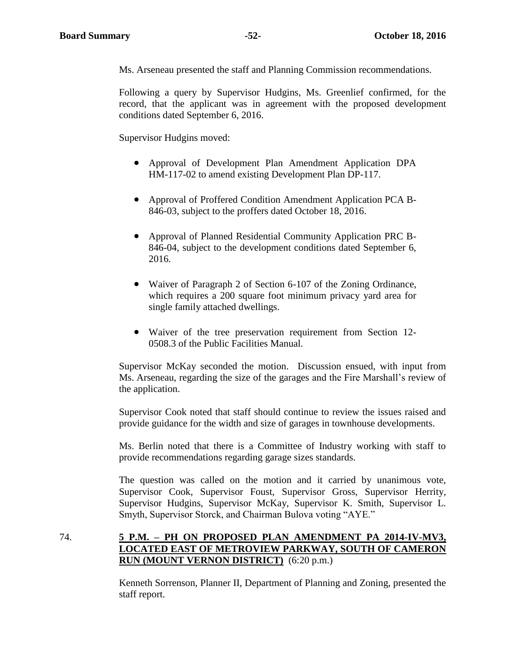Ms. Arseneau presented the staff and Planning Commission recommendations.

Following a query by Supervisor Hudgins, Ms. Greenlief confirmed, for the record, that the applicant was in agreement with the proposed development conditions dated September 6, 2016.

Supervisor Hudgins moved:

- Approval of Development Plan Amendment Application DPA HM-117-02 to amend existing Development Plan DP-117.
- Approval of Proffered Condition Amendment Application PCA B-846-03, subject to the proffers dated October 18, 2016.
- Approval of Planned Residential Community Application PRC B-846-04, subject to the development conditions dated September 6, 2016.
- Waiver of Paragraph 2 of Section 6-107 of the Zoning Ordinance, which requires a 200 square foot minimum privacy yard area for single family attached dwellings.
- Waiver of the tree preservation requirement from Section 12- 0508.3 of the Public Facilities Manual.

Supervisor McKay seconded the motion. Discussion ensued, with input from Ms. Arseneau, regarding the size of the garages and the Fire Marshall's review of the application.

Supervisor Cook noted that staff should continue to review the issues raised and provide guidance for the width and size of garages in townhouse developments.

Ms. Berlin noted that there is a Committee of Industry working with staff to provide recommendations regarding garage sizes standards.

The question was called on the motion and it carried by unanimous vote, Supervisor Cook, Supervisor Foust, Supervisor Gross, Supervisor Herrity, Supervisor Hudgins, Supervisor McKay, Supervisor K. Smith, Supervisor L. Smyth, Supervisor Storck, and Chairman Bulova voting "AYE."

74. **5 P.M. – PH ON PROPOSED PLAN AMENDMENT PA 2014-IV-MV3, LOCATED EAST OF METROVIEW PARKWAY, SOUTH OF CAMERON RUN (MOUNT VERNON DISTRICT)** (6:20 p.m.)

> Kenneth Sorrenson, Planner II, Department of Planning and Zoning, presented the staff report.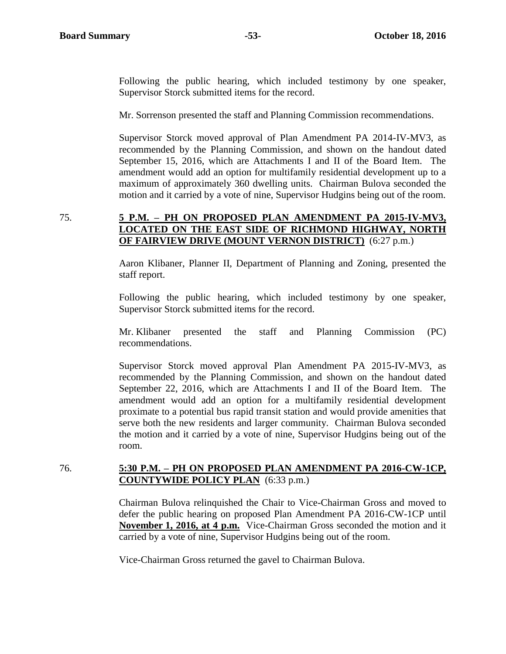Following the public hearing, which included testimony by one speaker, Supervisor Storck submitted items for the record.

Mr. Sorrenson presented the staff and Planning Commission recommendations.

Supervisor Storck moved approval of Plan Amendment PA 2014-IV-MV3, as recommended by the Planning Commission, and shown on the handout dated September 15, 2016, which are Attachments I and II of the Board Item. The amendment would add an option for multifamily residential development up to a maximum of approximately 360 dwelling units. Chairman Bulova seconded the motion and it carried by a vote of nine, Supervisor Hudgins being out of the room.

#### 75. **5 P.M. – PH ON PROPOSED PLAN AMENDMENT PA 2015-IV-MV3, LOCATED ON THE EAST SIDE OF RICHMOND HIGHWAY, NORTH OF FAIRVIEW DRIVE (MOUNT VERNON DISTRICT)** (6:27 p.m.)

Aaron Klibaner, Planner II, Department of Planning and Zoning, presented the staff report.

Following the public hearing, which included testimony by one speaker, Supervisor Storck submitted items for the record.

Mr. Klibaner presented the staff and Planning Commission (PC) recommendations.

Supervisor Storck moved approval Plan Amendment PA 2015-IV-MV3, as recommended by the Planning Commission, and shown on the handout dated September 22, 2016, which are Attachments I and II of the Board Item. The amendment would add an option for a multifamily residential development proximate to a potential bus rapid transit station and would provide amenities that serve both the new residents and larger community. Chairman Bulova seconded the motion and it carried by a vote of nine, Supervisor Hudgins being out of the room.

#### 76. **5:30 P.M. – PH ON PROPOSED PLAN AMENDMENT PA 2016-CW-1CP, COUNTYWIDE POLICY PLAN** (6:33 p.m.)

Chairman Bulova relinquished the Chair to Vice-Chairman Gross and moved to defer the public hearing on proposed Plan Amendment PA 2016-CW-1CP until **November 1, 2016, at 4 p.m.** Vice-Chairman Gross seconded the motion and it carried by a vote of nine, Supervisor Hudgins being out of the room.

Vice-Chairman Gross returned the gavel to Chairman Bulova.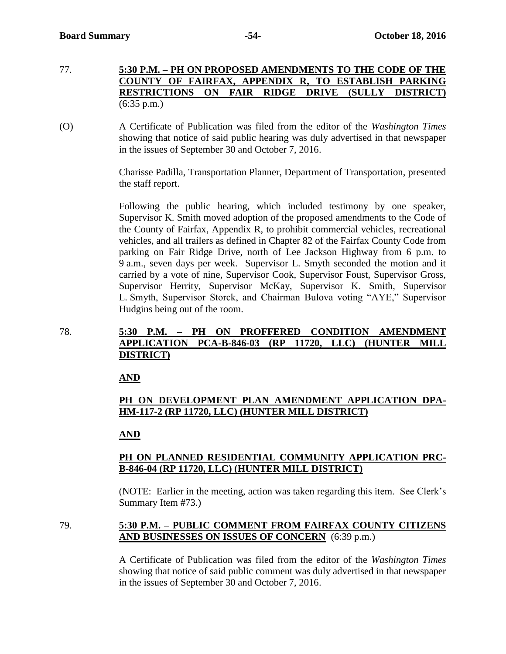- 77. **5:30 P.M. – PH ON PROPOSED AMENDMENTS TO THE CODE OF THE COUNTY OF FAIRFAX, APPENDIX R, TO ESTABLISH PARKING RESTRICTIONS ON FAIR RIDGE DRIVE (SULLY DISTRICT)** (6:35 p.m.)
- (O) A Certificate of Publication was filed from the editor of the *Washington Times*  showing that notice of said public hearing was duly advertised in that newspaper in the issues of September 30 and October 7, 2016.

Charisse Padilla, Transportation Planner, Department of Transportation, presented the staff report.

Following the public hearing, which included testimony by one speaker, Supervisor K. Smith moved adoption of the proposed amendments to the Code of the County of Fairfax, Appendix R, to prohibit commercial vehicles, recreational vehicles, and all trailers as defined in Chapter 82 of the Fairfax County Code from parking on Fair Ridge Drive, north of Lee Jackson Highway from 6 p.m. to 9 a.m., seven days per week. Supervisor L. Smyth seconded the motion and it carried by a vote of nine, Supervisor Cook, Supervisor Foust, Supervisor Gross, Supervisor Herrity, Supervisor McKay, Supervisor K. Smith, Supervisor L. Smyth, Supervisor Storck, and Chairman Bulova voting "AYE," Supervisor Hudgins being out of the room.

78. **5:30 P.M. – PH ON PROFFERED CONDITION AMENDMENT APPLICATION PCA-B-846-03 (RP 11720, LLC) (HUNTER MILL DISTRICT)**

**AND**

# **PH ON DEVELOPMENT PLAN AMENDMENT APPLICATION DPA-HM-117-2 (RP 11720, LLC) (HUNTER MILL DISTRICT)**

# **AND**

# **PH ON PLANNED RESIDENTIAL COMMUNITY APPLICATION PRC-B-846-04 (RP 11720, LLC) (HUNTER MILL DISTRICT)**

(NOTE: Earlier in the meeting, action was taken regarding this item. See Clerk's Summary Item #73.)

79. **5:30 P.M. – PUBLIC COMMENT FROM FAIRFAX COUNTY CITIZENS AND BUSINESSES ON ISSUES OF CONCERN** (6:39 p.m.)

> A Certificate of Publication was filed from the editor of the *Washington Times*  showing that notice of said public comment was duly advertised in that newspaper in the issues of September 30 and October 7, 2016.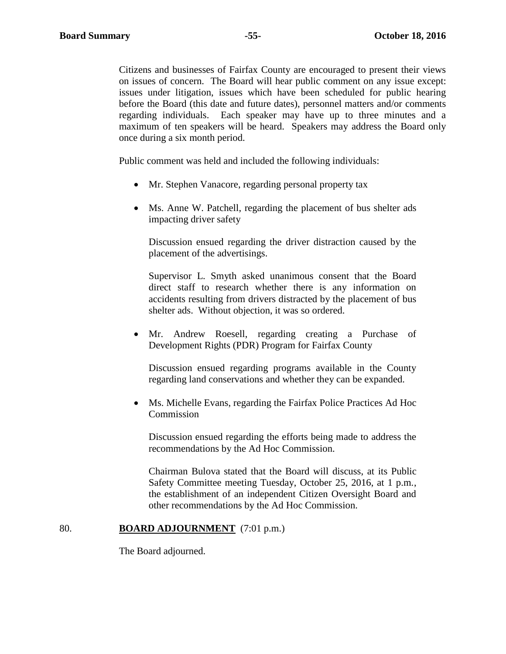Citizens and businesses of Fairfax County are encouraged to present their views on issues of concern. The Board will hear public comment on any issue except: issues under litigation, issues which have been scheduled for public hearing before the Board (this date and future dates), personnel matters and/or comments regarding individuals. Each speaker may have up to three minutes and a maximum of ten speakers will be heard. Speakers may address the Board only once during a six month period.

Public comment was held and included the following individuals:

- Mr. Stephen Vanacore, regarding personal property tax
- Ms. Anne W. Patchell, regarding the placement of bus shelter ads impacting driver safety

Discussion ensued regarding the driver distraction caused by the placement of the advertisings.

Supervisor L. Smyth asked unanimous consent that the Board direct staff to research whether there is any information on accidents resulting from drivers distracted by the placement of bus shelter ads. Without objection, it was so ordered.

 Mr. Andrew Roesell, regarding creating a Purchase of Development Rights (PDR) Program for Fairfax County

Discussion ensued regarding programs available in the County regarding land conservations and whether they can be expanded.

 Ms. Michelle Evans, regarding the Fairfax Police Practices Ad Hoc Commission

Discussion ensued regarding the efforts being made to address the recommendations by the Ad Hoc Commission.

Chairman Bulova stated that the Board will discuss, at its Public Safety Committee meeting Tuesday, October 25, 2016, at 1 p.m., the establishment of an independent Citizen Oversight Board and other recommendations by the Ad Hoc Commission.

#### 80. **BOARD ADJOURNMENT** (7:01 p.m.)

The Board adjourned.